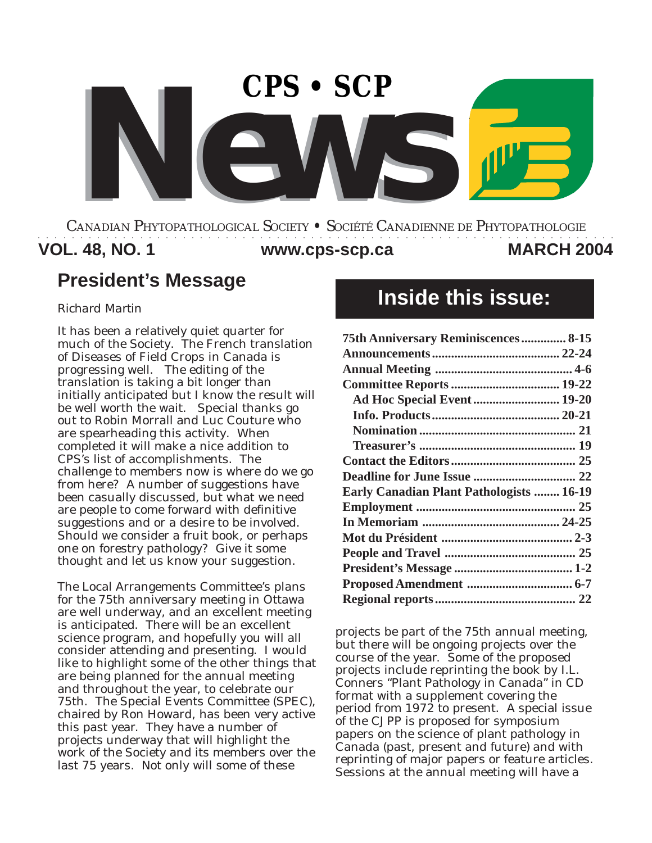

#### **VOL. 48, NO. 1 MARCH 2004 www.cps-scp.ca** CANADIAN PHYTOPATHOLOGICAL SOCIETY **•** SOCIÉTÉ CANADIENNE DE PHYTOPATHOLOGIE ○○○○○○○○○○○○○○○○○○○○○○○○○○○○○○○○○○○○○○○○○○○○○○○○○○○○○○○○○○○○○○○○○○○○

## **President's Message**

It has been a relatively quiet quarter for much of the Society. The French translation of Diseases of Field Crops in Canada is progressing well. The editing of the translation is taking a bit longer than initially anticipated but I know the result will be well worth the wait. Special thanks go out to Robin Morrall and Luc Couture who are spearheading this activity. When completed it will make a nice addition to CPS's list of accomplishments. The challenge to members now is where do we go from here? A number of suggestions have been casually discussed, but what we need are people to come forward with definitive suggestions and or a desire to be involved. Should we consider a fruit book, or perhaps one on forestry pathology? Give it some thought and let us know your suggestion.

The Local Arrangements Committee's plans for the 75th anniversary meeting in Ottawa are well underway, and an excellent meeting is anticipated. There will be an excellent science program, and hopefully you will all consider attending and presenting. I would like to highlight some of the other things that are being planned for the annual meeting and throughout the year, to celebrate our 75th. The Special Events Committee (SPEC), chaired by Ron Howard, has been very active this past year. They have a number of projects underway that will highlight the work of the Society and its members over the last 75 years. Not only will some of these

# *Richard Martin* **Inside this issue:**

| 75th Anniversary Reminiscences 8-15             |  |
|-------------------------------------------------|--|
|                                                 |  |
|                                                 |  |
| <b>Committee Reports  19-22</b>                 |  |
| Ad Hoc Special Event  19-20                     |  |
|                                                 |  |
|                                                 |  |
|                                                 |  |
|                                                 |  |
|                                                 |  |
| <b>Early Canadian Plant Pathologists  16-19</b> |  |
|                                                 |  |
|                                                 |  |
|                                                 |  |
|                                                 |  |
|                                                 |  |
|                                                 |  |
|                                                 |  |
|                                                 |  |

projects be part of the 75th annual meeting, but there will be ongoing projects over the course of the year. Some of the proposed projects include reprinting the book by I.L. Conners "Plant Pathology in Canada" in CD format with a supplement covering the period from 1972 to present. A special issue of the CJPP is proposed for symposium papers on the science of plant pathology in Canada (past, present and future) and with reprinting of major papers or feature articles. Sessions at the annual meeting will have a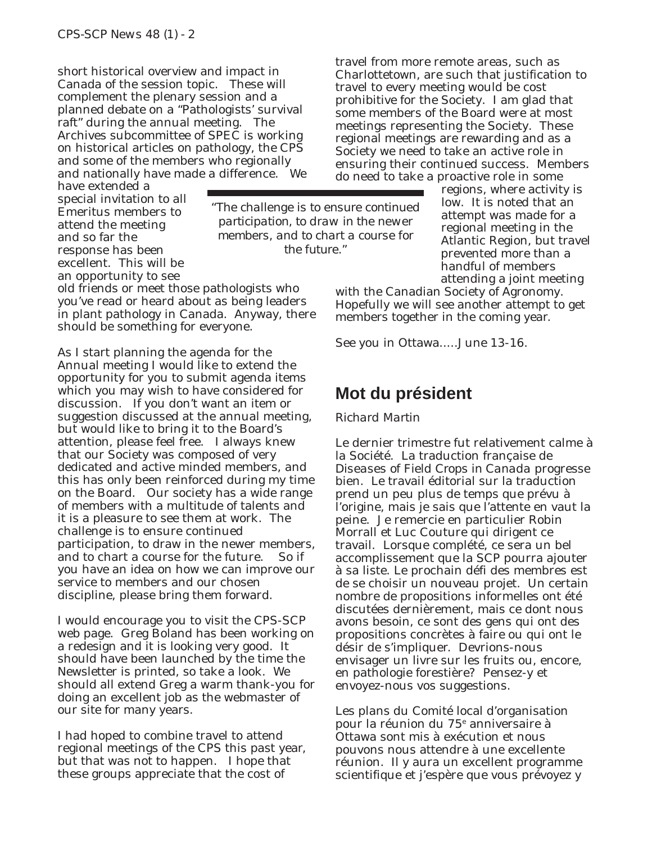short historical overview and impact in Canada of the session topic. These will complement the plenary session and a planned debate on a "Pathologists' survival raft" during the annual meeting. The Archives subcommittee of SPEC is working on historical articles on pathology, the CPS and some of the members who regionally and nationally have made a difference. We

have extended a special invitation to all Emeritus members to attend the meeting and so far the response has been excellent. This will be an opportunity to see

old friends or meet those pathologists who you've read or heard about as being leaders in plant pathology in Canada. Anyway, there should be something for everyone.

As I start planning the agenda for the Annual meeting I would like to extend the opportunity for you to submit agenda items which you may wish to have considered for discussion. If you don't want an item or suggestion discussed at the annual meeting, but would like to bring it to the Board's attention, please feel free. I always knew that our Society was composed of very dedicated and active minded members, and this has only been reinforced during my time on the Board. Our society has a wide range of members with a multitude of talents and it is a pleasure to see them at work. The challenge is to ensure continued participation, to draw in the newer members, and to chart a course for the future. So if you have an idea on how we can improve our service to members and our chosen discipline, please bring them forward.

I would encourage you to visit the CPS-SCP web page. Greg Boland has been working on a redesign and it is looking very good. It should have been launched by the time the Newsletter is printed, so take a look. We should all extend Greg a warm thank-you for doing an excellent job as the webmaster of our site for many years.

I had hoped to combine travel to attend regional meetings of the CPS this past year, but that was not to happen. I hope that these groups appreciate that the cost of

travel from more remote areas, such as Charlottetown, are such that justification to travel to every meeting would be cost prohibitive for the Society. I am glad that some members of the Board were at most meetings representing the Society. These regional meetings are rewarding and as a Society we need to take an active role in ensuring their continued success. Members do need to take a proactive role in some

*"The challenge is to ensure continued participation, to draw in the newer members, and to chart a course for the future."*

regions, where activity is low. It is noted that an attempt was made for a regional meeting in the Atlantic Region, but travel prevented more than a handful of members attending a joint meeting

with the Canadian Society of Agronomy. Hopefully we will see another attempt to get members together in the coming year.

See you in Ottawa.....June 13-16.

### **Mot du président**

#### *Richard Martin*

Le dernier trimestre fut relativement calme à la Société. La traduction française de *Diseases of Field Crops in Canada* progresse bien. Le travail éditorial sur la traduction prend un peu plus de temps que prévu à l'origine, mais je sais que l'attente en vaut la peine. Je remercie en particulier Robin Morrall et Luc Couture qui dirigent ce travail. Lorsque complété, ce sera un bel accomplissement que la SCP pourra ajouter à sa liste. Le prochain défi des membres est de se choisir un nouveau projet. Un certain nombre de propositions informelles ont été discutées dernièrement, mais ce dont nous avons besoin, ce sont des gens qui ont des propositions concrètes à faire ou qui ont le désir de s'impliquer. Devrions-nous envisager un livre sur les fruits ou, encore, en pathologie forestière? Pensez-y et envoyez-nous vos suggestions.

Les plans du Comité local d'organisation pour la réunion du 75ª anniversaire à Ottawa sont mis à exécution et nous pouvons nous attendre à une excellente réunion. Il y aura un excellent programme scientifique et j'espère que vous prévoyez y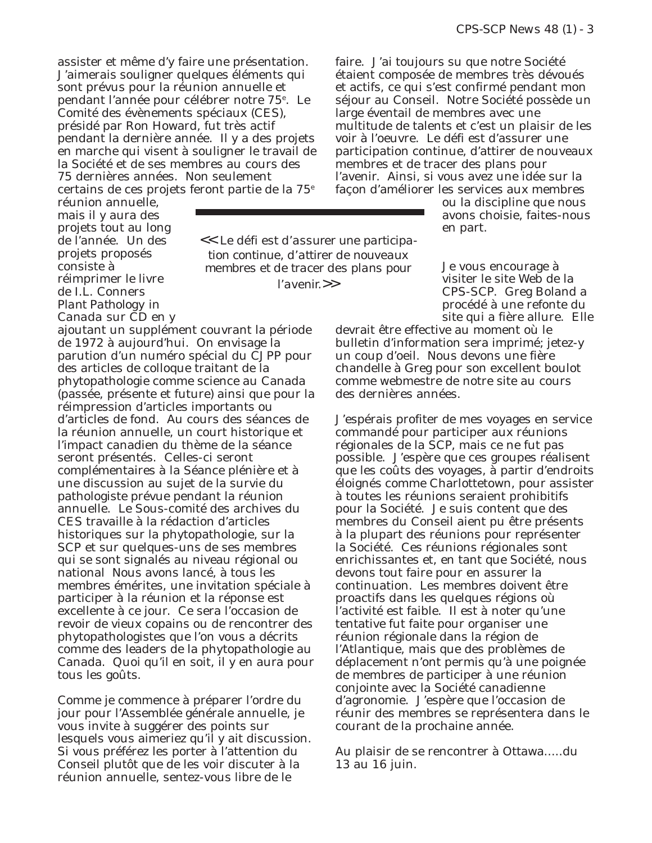assister et même d'y faire une présentation. J'aimerais souligner quelques éléments qui sont prévus pour la réunion annuelle et pendant l'année pour célébrer notre 75e . Le Comité des évènements spéciaux (CES), présidé par Ron Howard, fut très actif pendant la dernière année. Il y a des projets en marche qui visent à souligner le travail de la Société et de ses membres au cours des 75 dernières années. Non seulement certains de ces projets feront partie de la 75e

réunion annuelle, mais il y aura des projets tout au long de l'année. Un des projets proposés

réimprimer le livre de I.L. Conners *Plant Pathology in*

consiste à

*<< Le défi est d'assurer une participation continue, d'attirer de nouveaux membres et de tracer des plans pour l'avenir.>>*

*Canada* sur CD en y ajoutant un supplément couvrant la période de 1972 à aujourd'hui. On envisage la parution d'un numéro spécial du CJPP pour des articles de colloque traitant de la phytopathologie comme science au Canada (passée, présente et future) ainsi que pour la réimpression d'articles importants ou d'articles de fond. Au cours des séances de la réunion annuelle, un court historique et l'impact canadien du thème de la séance seront présentés. Celles-ci seront complémentaires à la Séance plénière et à une discussion au sujet de la survie du pathologiste prévue pendant la réunion annuelle. Le Sous-comité des archives du CES travaille à la rédaction d'articles historiques sur la phytopathologie, sur la SCP et sur quelques-uns de ses membres qui se sont signalés au niveau régional ou national Nous avons lancé, à tous les membres émérites, une invitation spéciale à participer à la réunion et la réponse est excellente à ce jour. Ce sera l'occasion de revoir de vieux copains ou de rencontrer des phytopathologistes que l'on vous a décrits comme des leaders de la phytopathologie au Canada. Quoi qu'il en soit, il y en aura pour tous les goûts.

Comme je commence à préparer l'ordre du jour pour l'Assemblée générale annuelle, je vous invite à suggérer des points sur lesquels vous aimeriez qu'il y ait discussion. Si vous préférez les porter à l'attention du Conseil plutôt que de les voir discuter à la réunion annuelle, sentez-vous libre de le

faire. J'ai toujours su que notre Société étaient composée de membres très dévoués et actifs, ce qui s'est confirmé pendant mon séjour au Conseil. Notre Société possède un large éventail de membres avec une multitude de talents et c'est un plaisir de les voir à l'oeuvre. Le défi est d'assurer une participation continue, d'attirer de nouveaux membres et de tracer des plans pour l'avenir. Ainsi, si vous avez une idée sur la façon d'améliorer les services aux membres

ou la discipline que nous avons choisie, faites-nous en part.

Je vous encourage à visiter le site Web de la CPS-SCP. Greg Boland a procédé à une refonte du site qui a fière allure. Elle

devrait être effective au moment où le bulletin d'information sera imprimé; jetez-y un coup d'oeil. Nous devons une fière chandelle à Greg pour son excellent boulot comme webmestre de notre site au cours des dernières années.

J'espérais profiter de mes voyages en service commandé pour participer aux réunions régionales de la SCP, mais ce ne fut pas possible. J'espère que ces groupes réalisent que les coûts des voyages, à partir d'endroits éloignés comme Charlottetown, pour assister à toutes les réunions seraient prohibitifs pour la Société. Je suis content que des membres du Conseil aient pu être présents à la plupart des réunions pour représenter la Société. Ces réunions régionales sont enrichissantes et, en tant que Société, nous devons tout faire pour en assurer la continuation. Les membres doivent être proactifs dans les quelques régions où l'activité est faible. Il est à noter qu'une tentative fut faite pour organiser une réunion régionale dans la région de l'Atlantique, mais que des problèmes de déplacement n'ont permis qu'à une poignée de membres de participer à une réunion conjointe avec la Société canadienne d'agronomie. J'espère que l'occasion de réunir des membres se représentera dans le courant de la prochaine année.

Au plaisir de se rencontrer à Ottawa.....du 13 au 16 juin.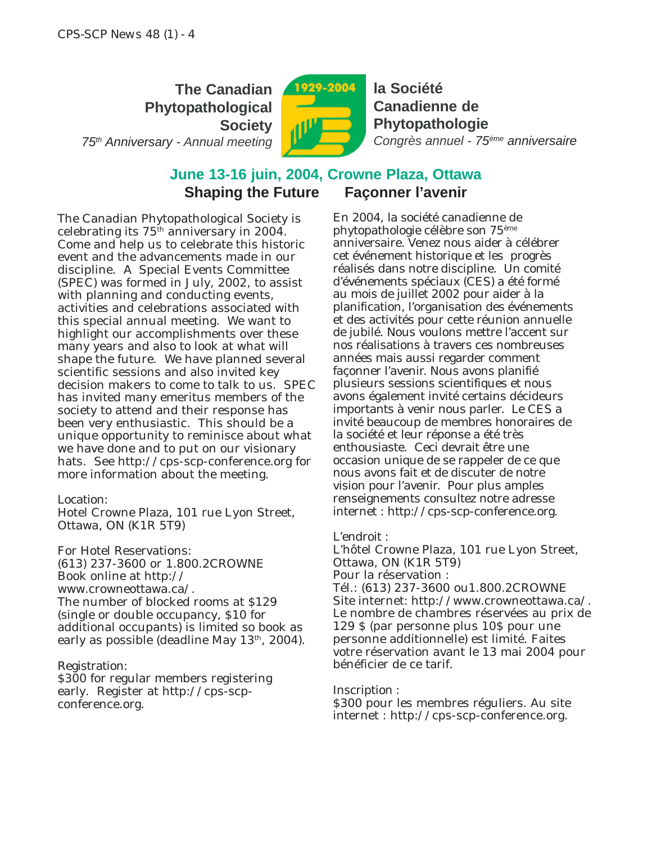**The Canadian Phytopathological Society** *75th Anniversary - Annual meeting*



**la Société Canadienne de Phytopathologie** *Congrès annuel - 75ème anniversaire*

### **June 13-16 juin, 2004, Crowne Plaza, Ottawa Shaping the Future Façonner l'avenir**

The Canadian Phytopathological Society is celebrating its 75th anniversary in 2004. Come and help us to celebrate this historic event and the advancements made in our discipline. A Special Events Committee (SPEC) was formed in July, 2002, to assist with planning and conducting events, activities and celebrations associated with this special annual meeting. We want to highlight our accomplishments over these many years and also to look at what will shape the future. We have planned several scientific sessions and also invited key decision makers to come to talk to us. SPEC has invited many emeritus members of the society to attend and their response has been very enthusiastic. This should be a unique opportunity to reminisce about what we have done and to put on our visionary hats. See http://cps-scp-conference.org for more information about the meeting.

#### Location:

Hotel Crowne Plaza, 101 rue Lyon Street, Ottawa, ON (K1R 5T9)

For Hotel Reservations: (613) 237-3600 or 1.800.2CROWNE Book online at http:// www.crowneottawa.ca/. The number of blocked rooms at \$129 (single or double occupancy, \$10 for additional occupants) is limited so book as early as possible (deadline May  $13<sup>th</sup>$ , 2004).

#### Registration:

\$300 for regular members registering early. Register at http://cps-scpconference.org.

En 2004, la société canadienne de phytopathologie célèbre son 75ème anniversaire. Venez nous aider à célébrer cet événement historique et les progrès réalisés dans notre discipline. Un comité d'événements spéciaux (CES) a été formé au mois de juillet 2002 pour aider à la planification, l'organisation des événements et des activités pour cette réunion annuelle de jubilé. Nous voulons mettre l'accent sur nos réalisations à travers ces nombreuses années mais aussi regarder comment façonner l'avenir. Nous avons planifié plusieurs sessions scientifiques et nous avons également invité certains décideurs importants à venir nous parler. Le CES a invité beaucoup de membres honoraires de la société et leur réponse a été très enthousiaste. Ceci devrait être une occasion unique de se rappeler de ce que nous avons fait et de discuter de notre vision pour l'avenir. Pour plus amples renseignements consultez notre adresse internet : http://cps-scp-conference.org.

#### L'endroit :

L'hôtel Crowne Plaza, 101 rue Lyon Street, Ottawa, ON (K1R 5T9) Pour la réservation : Tél.: (613) 237-3600 ou1.800.2CROWNE Site internet: http://www.crowneottawa.ca/. Le nombre de chambres réservées au prix de 129 \$ (par personne plus 10\$ pour une personne additionnelle) est limité. Faites votre réservation avant le 13 mai 2004 pour bénéficier de ce tarif.

Inscription :

\$300 pour les membres réguliers. Au site internet : http://cps-scp-conference.org.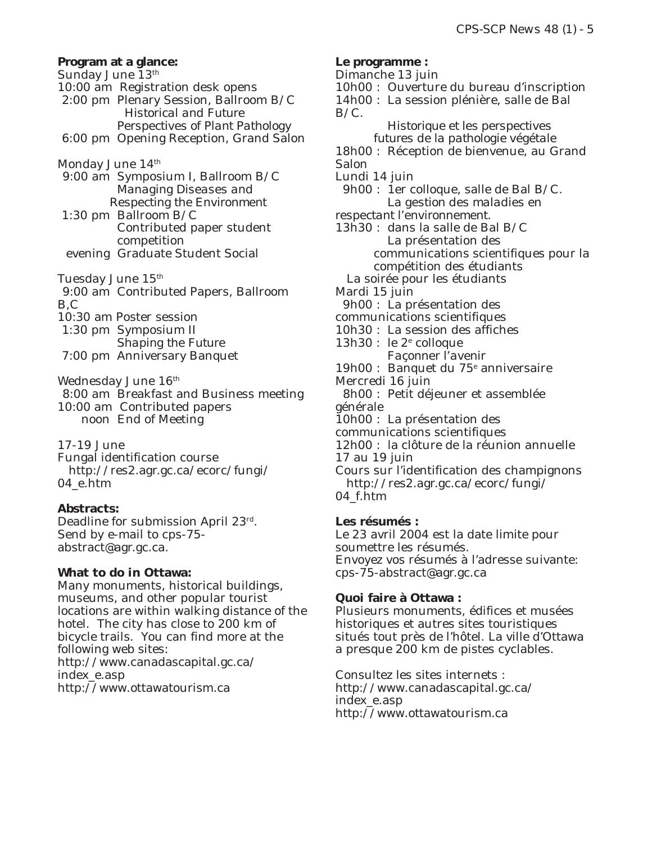#### **Program at a glance:**

Sunday June 13<sup>th</sup> 10:00 am Registration desk opens 2:00 pm Plenary Session, Ballroom B/C *Historical and Future Perspectives of Plant Pathology* 6:00 pm Opening Reception, Grand Salon

Monday June 14<sup>th</sup>

9:00 am Symposium I, Ballroom B/C *Managing Diseases and Respecting the Environment* 1:30 pm Ballroom B/C Contributed paper student competition

evening Graduate Student Social

Tuesday June 15th

9:00 am Contributed Papers, Ballroom B,C 10:30 am Poster session 1:30 pm Symposium II *Shaping the Future* 7:00 pm Anniversary Banquet

Wednesday June 16<sup>th</sup>

8:00 am Breakfast and Business meeting 10:00 am Contributed papers noon End of Meeting

17-19 June

Fungal identification course http://res2.agr.gc.ca/ecorc/fungi/ 04\_e.htm

#### **Abstracts:**

Deadline for submission April 23rd. Send by e-mail to cps-75 abstract@agr.gc.ca.

#### **What to do in Ottawa:**

Many monuments, historical buildings, museums, and other popular tourist locations are within walking distance of the hotel. The city has close to 200 km of bicycle trails. You can find more at the following web sites: http://www.canadascapital.gc.ca/ index\_e.asp http://www.ottawatourism.ca

**Le programme :** Dimanche 13 juin 10h00 : Ouverture du bureau d'inscription 14h00 : La session plénière, salle de Bal B/C. *Historique et les perspectives futures de la pathologie végétale* 18h00 : Réception de bienvenue, au Grand Salon Lundi 14 juin 9h00 : 1er colloque, salle de Bal B/C. *La gestion des maladies en respectant l'environnement*. 13h30 : dans la salle de Bal B/C La présentation des communications scientifiques pour la compétition des étudiants La soirée pour les étudiants Mardi 15 juin 9h00 : La présentation des communications scientifiques 10h30 : La session des affiches 13h30 : le 2<sup>e</sup> colloque *Façonner l'avenir* 19h00 : Banquet du 75e anniversaire Mercredi 16 juin 8h00 : Petit déjeuner et assemblée générale 10h00 : La présentation des communications scientifiques 12h00 : la clôture de la réunion annuelle 17 au 19 juin Cours sur l'identification des champignons http://res2.agr.gc.ca/ecorc/fungi/ 04\_f.htm

#### **Les résumés :**

Le 23 avril 2004 est la date limite pour soumettre les résumés. Envoyez vos résumés à l'adresse suivante: cps-75-abstract@agr.gc.ca

#### **Quoi faire à Ottawa :**

Plusieurs monuments, édifices et musées historiques et autres sites touristiques situés tout près de l'hôtel. La ville d'Ottawa a presque 200 km de pistes cyclables.

Consultez les sites internets : http://www.canadascapital.gc.ca/ index\_e.asp http://www.ottawatourism.ca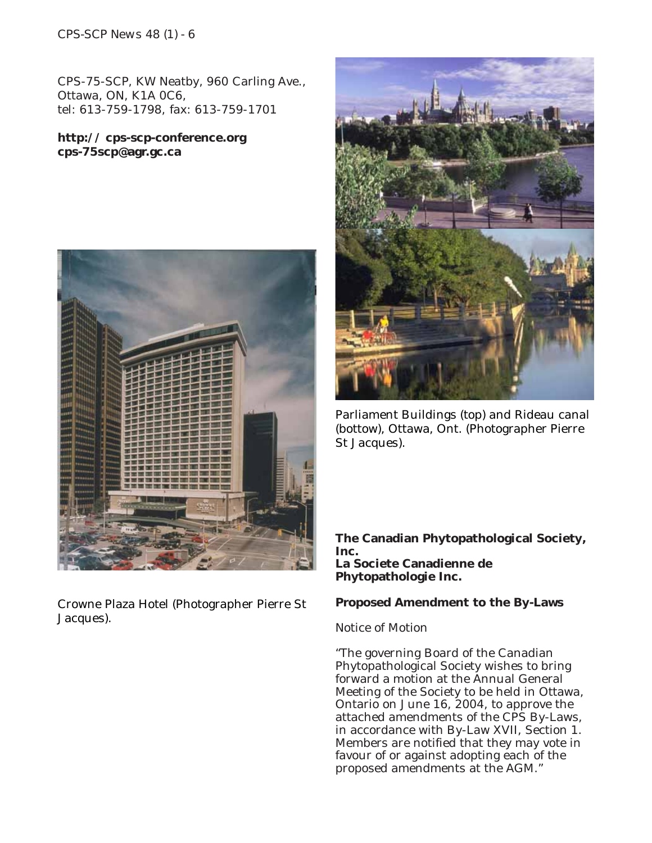#### *CPS-SCP News 48 (1) - 6*

CPS-75-SCP, KW Neatby, 960 Carling Ave., Ottawa, ON, K1A 0C6, tel: 613-759-1798, fax: 613-759-1701

#### **http:// cps-scp-conference.org cps-75scp@agr.gc.ca**



Crowne Plaza Hotel (Photographer Pierre St Jacques).



Parliament Buildings (top) and Rideau canal (bottow), Ottawa, Ont. (Photographer Pierre St Jacques).

**The Canadian Phytopathological Society, Inc. La Societe Canadienne de Phytopathologie Inc.**

#### **Proposed Amendment to the By-Laws**

Notice of Motion

"The governing Board of the Canadian Phytopathological Society wishes to bring forward a motion at the Annual General Meeting of the Society to be held in Ottawa, Ontario on June 16, 2004, to approve the attached amendments of the CPS By-Laws, in accordance with By-Law XVII, Section 1. Members are notified that they may vote in favour of or against adopting each of the proposed amendments at the AGM."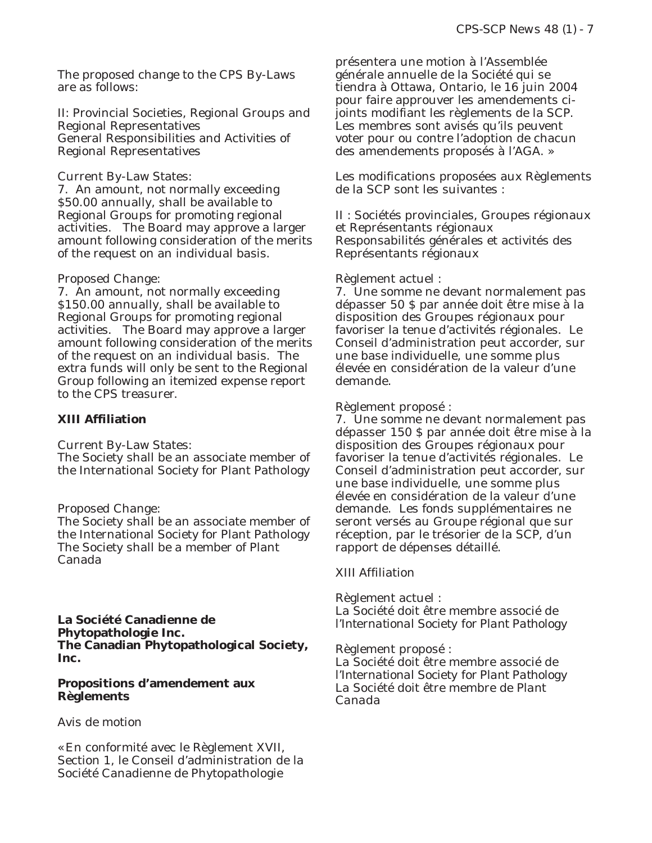The proposed change to the CPS By-Laws are as follows:

II: Provincial Societies, Regional Groups and Regional Representatives General Responsibilities and Activities of Regional Representatives

#### Current By-Law States:

7. An amount, not normally exceeding \$50.00 annually, shall be available to Regional Groups for promoting regional activities. The Board may approve a larger amount following consideration of the merits of the request on an individual basis.

#### Proposed Change:

7. An amount, not normally exceeding \$150.00 annually, shall be available to Regional Groups for promoting regional activities. The Board may approve a larger amount following consideration of the merits of the request on an individual basis. The extra funds will only be sent to the Regional Group following an itemized expense report to the CPS treasurer.

#### **XIII Affiliation**

Current By-Law States:

The Society shall be an associate member of the International Society for Plant Pathology

Proposed Change:

The Society shall be an associate member of the International Society for Plant Pathology The Society shall be a member of Plant Canada

**La Société Canadienne de Phytopathologie Inc. The Canadian Phytopathological Society, Inc.**

#### **Propositions d'amendement aux Règlements**

#### Avis de motion

« En conformité avec le Règlement XVII, Section 1, le Conseil d'administration de la Société Canadienne de Phytopathologie

présentera une motion à l'Assemblée générale annuelle de la Société qui se tiendra à Ottawa, Ontario, le 16 juin 2004 pour faire approuver les amendements cijoints modifiant les règlements de la SCP. Les membres sont avisés qu'ils peuvent voter pour ou contre l'adoption de chacun des amendements proposés à l'AGA. »

Les modifications proposées aux Règlements de la SCP sont les suivantes :

II : Sociétés provinciales, Groupes régionaux et Représentants régionaux Responsabilités générales et activités des Représentants régionaux

#### Règlement actuel :

7. Une somme ne devant normalement pas dépasser 50 \$ par année doit être mise à la disposition des Groupes régionaux pour favoriser la tenue d'activités régionales. Le Conseil d'administration peut accorder, sur une base individuelle, une somme plus élevée en considération de la valeur d'une demande.

#### Règlement proposé :

7. Une somme ne devant normalement pas dépasser 150 \$ par année doit être mise à la disposition des Groupes régionaux pour favoriser la tenue d'activités régionales. Le Conseil d'administration peut accorder, sur une base individuelle, une somme plus élevée en considération de la valeur d'une demande. Les fonds supplémentaires ne seront versés au Groupe régional que sur réception, par le trésorier de la SCP, d'un rapport de dépenses détaillé.

#### XIII Affiliation

Règlement actuel : La Société doit être membre associé de l'*International Society for Plant Pathology*

Règlement proposé : La Société doit être membre associé de l'*International Society for Plant Pathology* La Société doit être membre de *Plant Canada*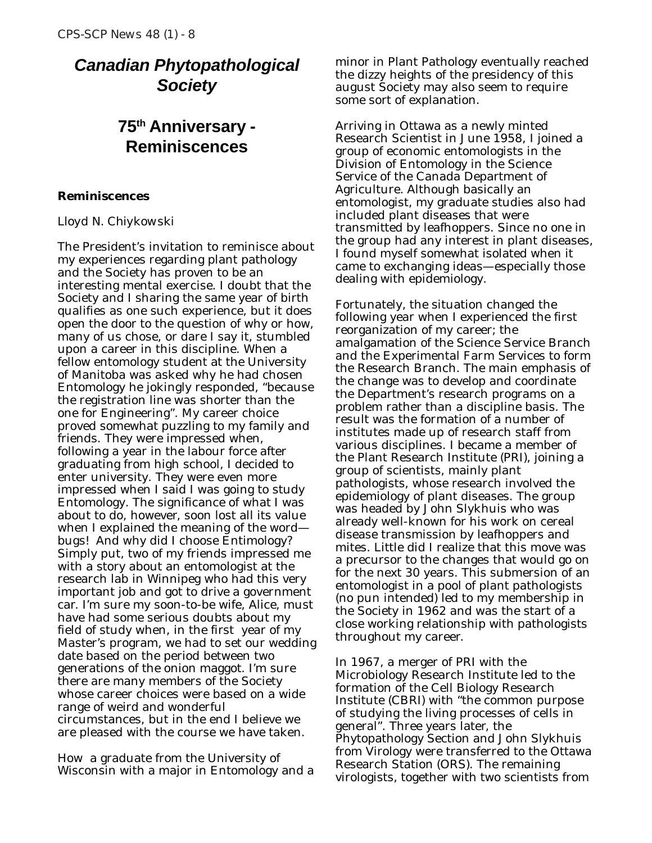### *Canadian Phytopathological Society*

### **75th Anniversary - Reminiscences**

#### **Reminiscences**

#### *Lloyd N. Chiykowski*

The President's invitation to reminisce about my experiences regarding plant pathology and the Society has proven to be an interesting mental exercise. I doubt that the Society and I sharing the same year of birth qualifies as one such experience, but it does open the door to the question of why or how, many of us chose, or dare I say it, stumbled upon a career in this discipline. When a fellow entomology student at the University of Manitoba was asked why he had chosen Entomology he jokingly responded, "because the registration line was shorter than the one for Engineering". My career choice proved somewhat puzzling to my family and friends. They were impressed when, following a year in the labour force after graduating from high school, I decided to enter university. They were even more impressed when I said I was going to study Entomology. The significance of what I was about to do, however, soon lost all its value when I explained the meaning of the word bugs! And why did I choose Entimology? Simply put, two of my friends impressed me with a story about an entomologist at the research lab in Winnipeg who had this very important job and got to drive a government car. I'm sure my soon-to-be wife, Alice, must have had some serious doubts about my field of study when, in the first year of my Master's program, we had to set our wedding date based on the period between two generations of the onion maggot. I'm sure there are many members of the Society whose career choices were based on a wide range of weird and wonderful circumstances, but in the end I believe we are pleased with the course we have taken.

How a graduate from the University of Wisconsin with a major in Entomology and a minor in Plant Pathology eventually reached the dizzy heights of the presidency of this august Society may also seem to require some sort of explanation.

Arriving in Ottawa as a newly minted Research Scientist in June 1958, I joined a group of economic entomologists in the Division of Entomology in the Science Service of the Canada Department of Agriculture. Although basically an entomologist, my graduate studies also had included plant diseases that were transmitted by leafhoppers. Since no one in the group had any interest in plant diseases, I found myself somewhat isolated when it came to exchanging ideas—especially those dealing with epidemiology.

Fortunately, the situation changed the following year when I experienced the first reorganization of my career; the amalgamation of the Science Service Branch and the Experimental Farm Services to form the Research Branch. The main emphasis of the change was to develop and coordinate the Department's research programs on a problem rather than a discipline basis. The result was the formation of a number of institutes made up of research staff from various disciplines. I became a member of the Plant Research Institute (PRI), joining a group of scientists, mainly plant pathologists, whose research involved the epidemiology of plant diseases. The group was headed by John Slykhuis who was already well-known for his work on cereal disease transmission by leafhoppers and mites. Little did I realize that this move was a precursor to the changes that would go on for the next 30 years. This submersion of an entomologist in a pool of plant pathologists (no pun intended) led to my membership in the Society in 1962 and was the start of a close working relationship with pathologists throughout my career.

In 1967, a merger of PRI with the Microbiology Research Institute led to the formation of the Cell Biology Research Institute (CBRI) with "the common purpose of studying the living processes of cells in general". Three years later, the Phytopathology Section and John Slykhuis from Virology were transferred to the Ottawa Research Station (ORS). The remaining virologists, together with two scientists from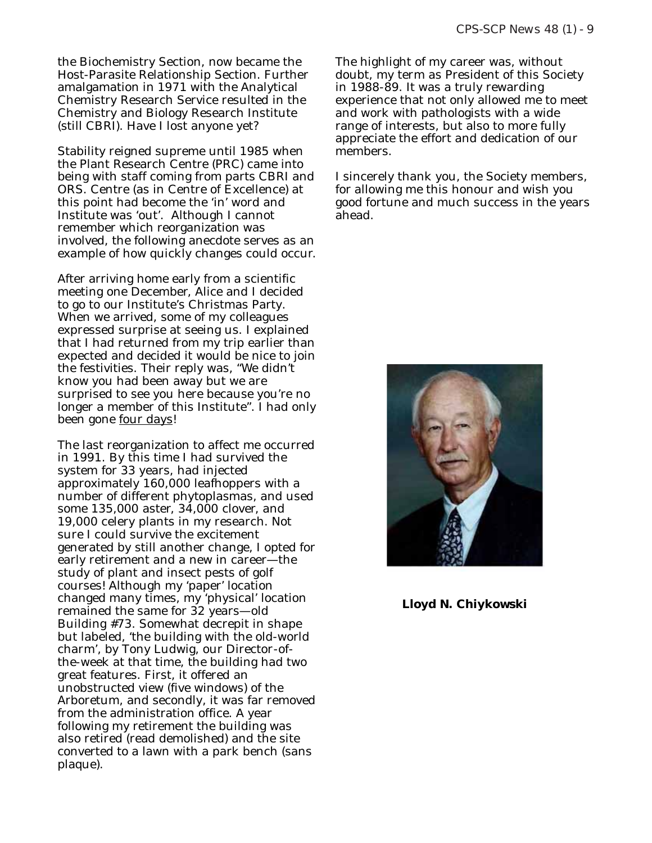the Biochemistry Section, now became the Host-Parasite Relationship Section. Further amalgamation in 1971 with the Analytical Chemistry Research Service resulted in the Chemistry and Biology Research Institute (still CBRI). Have I lost anyone yet?

Stability reigned supreme until 1985 when the Plant Research Centre (PRC) came into being with staff coming from parts CBRI and ORS. Centre (as in Centre of Excellence) at this point had become the 'in' word and Institute was 'out'. Although I cannot remember which reorganization was involved, the following anecdote serves as an example of how quickly changes could occur.

After arriving home early from a scientific meeting one December, Alice and I decided to go to our Institute's Christmas Party. When we arrived, some of my colleagues expressed surprise at seeing us. I explained that I had returned from my trip earlier than expected and decided it would be nice to join the festivities. Their reply was, "We didn't know you had been away but we are surprised to see you here because you're no longer a member of this Institute". I had only been gone <u>four days</u>!

The last reorganization to affect me occurred in 1991. By this time I had survived the system for 33 years, had injected approximately 160,000 leafhoppers with a number of different phytoplasmas, and used some 135,000 aster, 34,000 clover, and 19,000 celery plants in my research. Not sure I could survive the excitement generated by still another change, I opted for early retirement and a new in career—the study of plant and insect pests of golf courses! Although my 'paper' location changed many times, my 'physical' location remained the same for 32 years—old Building #73. Somewhat decrepit in shape but labeled, 'the building with the old-world charm', by Tony Ludwig, our Director-ofthe-week at that time, the building had two great features. First, it offered an unobstructed view (five windows) of the Arboretum, and secondly, it was far removed from the administration office. A year following my retirement the building was also retired (read demolished) and the site converted to a lawn with a park bench (sans plaque).

The highlight of my career was, without doubt, my term as President of this Society in 1988-89. It was a truly rewarding experience that not only allowed me to meet and work with pathologists with a wide range of interests, but also to more fully appreciate the effort and dedication of our members.

I sincerely thank you, the Society members, for allowing me this honour and wish you good fortune and much success in the years ahead.



**Lloyd N. Chiykowski**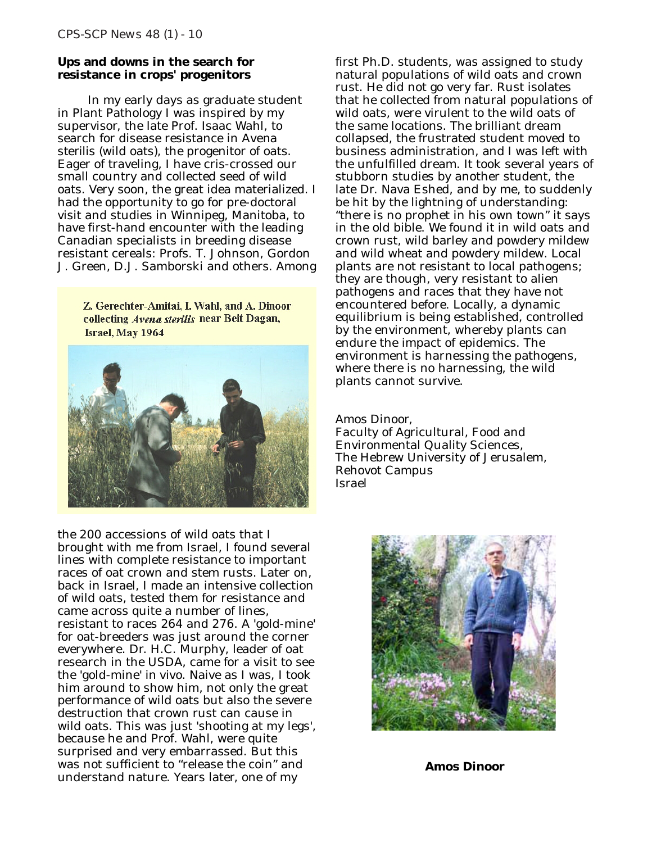#### **Ups and downs in the search for resistance in crops' progenitors**

In my early days as graduate student in Plant Pathology I was inspired by my supervisor, the late Prof. Isaac Wahl, to search for disease resistance in *Avena sterilis* (wild oats), the progenitor of oats. Eager of traveling, I have cris-crossed our small country and collected seed of wild oats. Very soon, the great idea materialized. I had the opportunity to go for pre-doctoral visit and studies in Winnipeg, Manitoba, to have first-hand encounter with the leading Canadian specialists in breeding disease resistant cereals: Profs. T. Johnson, Gordon J. Green, D.J. Samborski and others. Among

Z. Gerechter-Amitai, I. Wahl, and A. Dinoor collecting Avena sterilis near Beit Dagan, Israel, May 1964



the 200 accessions of wild oats that I brought with me from Israel, I found several lines with complete resistance to important races of oat crown and stem rusts. Later on, back in Israel, I made an intensive collection of wild oats, tested them for resistance and came across quite a number of lines, resistant to races 264 and 276. A 'gold-mine' for oat-breeders was just around the corner everywhere. Dr. H.C. Murphy, leader of oat research in the USDA, came for a visit to see the 'gold-mine' *in vivo*. Naive as I was, I took him around to show him, not only the great performance of wild oats but also the severe destruction that crown rust can cause in wild oats. This was just 'shooting at my legs', because he and Prof. Wahl, were quite surprised and very embarrassed. But this was not sufficient to "release the coin" and understand nature. Years later, one of my

first Ph.D. students, was assigned to study natural populations of wild oats and crown rust. He did not go very far. Rust isolates that he collected from natural populations of wild oats, were virulent to the wild oats of the same locations. The brilliant dream collapsed, the frustrated student moved to business administration, and I was left with the unfulfilled dream. It took several years of stubborn studies by another student, the late Dr. Nava Eshed, and by me, to suddenly be hit by the lightning of understanding: "there is no prophet in his own town" it says in the old bible. We found it in wild oats and crown rust, wild barley and powdery mildew and wild wheat and powdery mildew. Local plants are not resistant to local pathogens; they are though, very resistant to alien pathogens and races that they have not encountered before. Locally, a dynamic equilibrium is being established, controlled by the environment, whereby plants can endure the impact of epidemics. The environment is harnessing the pathogens, where there is no harnessing, the wild plants cannot survive.

Amos Dinoor, Faculty of Agricultural, Food and Environmental Quality Sciences, The Hebrew University of Jerusalem, Rehovot Campus Israel



**Amos Dinoor**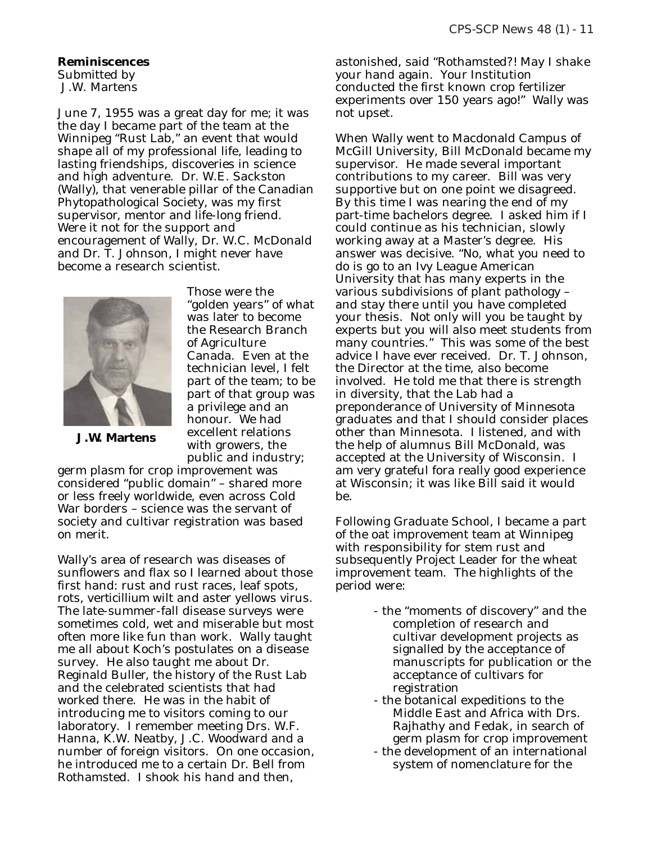#### **Reminiscences**

Submitted by J.W. Martens

June 7, 1955 was a great day for me; it was the day I became part of the team at the Winnipeg "Rust Lab," an event that would shape all of my professional life, leading to lasting friendships, discoveries in science and high adventure. Dr. W.E. Sackston (Wally), that venerable pillar of the Canadian Phytopathological Society, was my first supervisor, mentor and life-long friend. Were it not for the support and encouragement of Wally, Dr. W.C. McDonald and Dr. T. Johnson, I might never have become a research scientist.



of Agriculture Canada. Even at the technician level, I felt part of the team; to be part of that group was a privilege and an honour. We had excellent relations with growers, the public and industry;

Those were the

"golden years" of what was later to become the Research Branch

**J.W. Martens**

germ plasm for crop improvement was considered "public domain" – shared more or less freely worldwide, even across Cold War borders – science was the servant of society and cultivar registration was based on merit.

Wally's area of research was diseases of sunflowers and flax so I learned about those first hand: rust and rust races, leaf spots, rots, *verticillium* wilt and aster yellows virus. The late-summer-fall disease surveys were sometimes cold, wet and miserable but most often more like fun than work. Wally taught me all about Koch's postulates on a disease survey. He also taught me about Dr. Reginald Buller, the history of the Rust Lab and the celebrated scientists that had worked there. He was in the habit of introducing me to visitors coming to our laboratory. I remember meeting Drs. W.F. Hanna, K.W. Neatby, J.C. Woodward and a number of foreign visitors. On one occasion, he introduced me to a certain Dr. Bell from Rothamsted. I shook his hand and then,

astonished, said "Rothamsted?! May I shake your hand again. Your Institution conducted the first known crop fertilizer experiments over 150 years ago!" Wally was not upset.

When Wally went to Macdonald Campus of McGill University, Bill McDonald became my supervisor. He made several important contributions to my career. Bill was very supportive but on one point we disagreed. By this time I was nearing the end of my part-time bachelors degree. I asked him if I could continue as his technician, slowly working away at a Master's degree. His answer was decisive. "No, what you need to do is go to an Ivy League American University that has many experts in the various subdivisions of plant pathology – and stay there until you have completed your thesis. Not only will you be taught by experts but you will also meet students from many countries." This was some of the best advice I have ever received. Dr. T. Johnson, the Director at the time, also become involved. He told me that there is strength in diversity, that the Lab had a preponderance of University of Minnesota graduates and that I should consider places other than Minnesota. I listened, and with the help of alumnus Bill McDonald, was accepted at the University of Wisconsin. I am very grateful fora really good experience at Wisconsin; it was like Bill said it would be.

Following Graduate School, I became a part of the oat improvement team at Winnipeg with responsibility for stem rust and subsequently Project Leader for the wheat improvement team. The highlights of the period were:

- the "moments of discovery" and the completion of research and cultivar development projects as signalled by the acceptance of manuscripts for publication or the acceptance of cultivars for registration
- the botanical expeditions to the Middle East and Africa with Drs. Rajhathy and Fedak, in search of germ plasm for crop improvement
- the development of an international system of nomenclature for the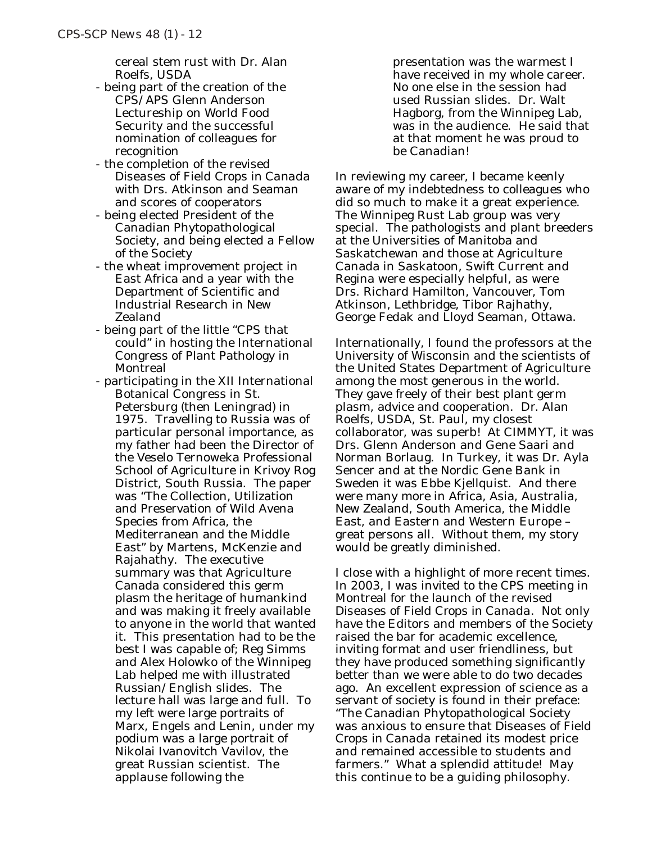cereal stem rust with Dr. Alan Roelfs, USDA

- being part of the creation of the CPS/APS Glenn Anderson Lectureship on World Food Security and the successful nomination of colleagues for recognition
- the completion of the revised *Diseases of Field Crops in Canada* with Drs. Atkinson and Seaman and scores of cooperators
- being elected President of the Canadian Phytopathological Society, and being elected a Fellow of the Society
- the wheat improvement project in East Africa and a year with the Department of Scientific and Industrial Research in New Zealand
- being part of the little "CPS that could" in hosting the International Congress of Plant Pathology in Montreal
- participating in the XII International Botanical Congress in St. Petersburg (then Leningrad) in 1975. Travelling to Russia was of particular personal importance, as my father had been the Director of the Veselo Ternoweka Professional School of Agriculture in Krivoy Rog District, South Russia. The paper was "The Collection, Utilization and Preservation of Wild Avena Species from Africa, the Mediterranean and the Middle East" by Martens, McKenzie and Rajahathy. The executive summary was that Agriculture Canada considered this germ plasm the heritage of humankind and was making it freely available to anyone in the world that wanted it. This presentation had to be the best I was capable of; Reg Simms and Alex Holowko of the Winnipeg Lab helped me with illustrated Russian/English slides. The lecture hall was large and full. To my left were large portraits of Marx, Engels and Lenin, under my podium was a large portrait of Nikolai Ivanovitch Vavilov, the great Russian scientist. The applause following the

presentation was the warmest I have received in my whole career. No one else in the session had used Russian slides. Dr. Walt Hagborg, from the Winnipeg Lab, was in the audience. He said that at that moment he was proud to be Canadian!

In reviewing my career, I became keenly aware of my indebtedness to colleagues who did so much to make it a great experience. The Winnipeg Rust Lab group was very special. The pathologists and plant breeders at the Universities of Manitoba and Saskatchewan and those at Agriculture Canada in Saskatoon, Swift Current and Regina were especially helpful, as were Drs. Richard Hamilton, Vancouver, Tom Atkinson, Lethbridge, Tibor Rajhathy, George Fedak and Lloyd Seaman, Ottawa.

Internationally, I found the professors at the University of Wisconsin and the scientists of the United States Department of Agriculture among the most generous in the world. They gave freely of their best plant germ plasm, advice and cooperation. Dr. Alan Roelfs, USDA, St. Paul, my closest collaborator, was superb! At CIMMYT, it was Drs. Glenn Anderson and Gene Saari and Norman Borlaug. In Turkey, it was Dr. Ayla Sencer and at the Nordic Gene Bank in Sweden it was Ebbe Kjellquist. And there were many more in Africa, Asia, Australia, New Zealand, South America, the Middle East, and Eastern and Western Europe – great persons all. Without them, my story would be greatly diminished.

I close with a highlight of more recent times. In 2003, I was invited to the CPS meeting in Montreal for the launch of the revised *Diseases of Field Crops in Canada.* Not only have the Editors and members of the Society raised the bar for academic excellence, inviting format and user friendliness, but they have produced something significantly better than we were able to do two decades ago. An excellent expression of science as a servant of society is found in their preface: "The Canadian Phytopathological Society was anxious to ensure that *Diseases of Field Crops in Canada* retained its modest price and remained accessible to students and farmers." What a splendid attitude! May this continue to be a guiding philosophy.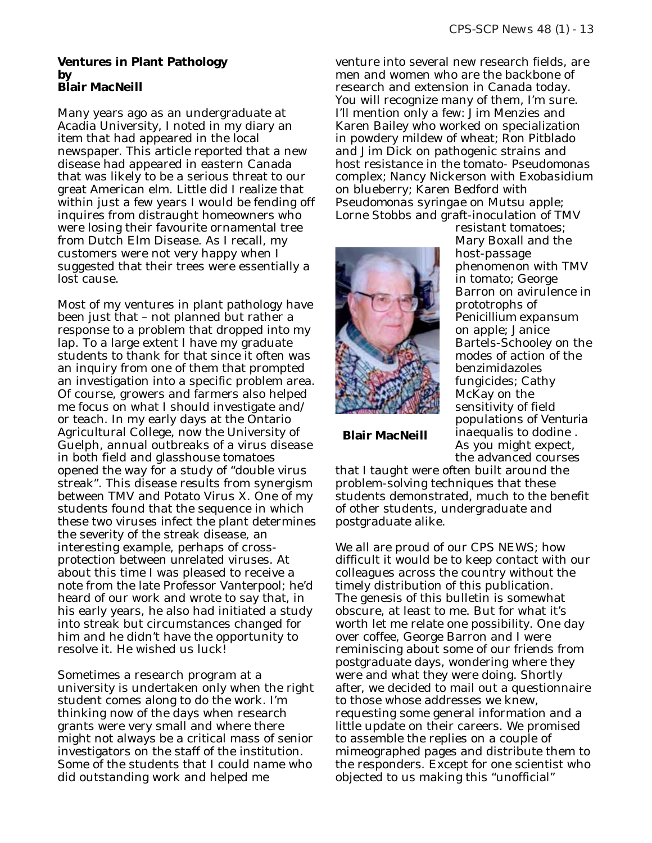#### **Ventures in Plant Pathology by Blair MacNeill**

Many years ago as an undergraduate at Acadia University, I noted in my diary an item that had appeared in the local newspaper. This article reported that a new disease had appeared in eastern Canada that was likely to be a serious threat to our great American elm. Little did I realize that within just a few years I would be fending off inquires from distraught homeowners who were losing their favourite ornamental tree from Dutch Elm Disease. As I recall, my customers were not very happy when I suggested that their trees were essentially a lost cause.

Most of my ventures in plant pathology have been just that – not planned but rather a response to a problem that dropped into my lap. To a large extent I have my graduate students to thank for that since it often was an inquiry from one of them that prompted an investigation into a specific problem area. Of course, growers and farmers also helped me focus on what I should investigate and/ or teach. In my early days at the Ontario Agricultural College, now the University of Guelph, annual outbreaks of a virus disease in both field and glasshouse tomatoes opened the way for a study of "double virus streak". This disease results from synergism between TMV and Potato Virus X. One of my students found that the sequence in which these two viruses infect the plant determines the severity of the streak disease, an interesting example, perhaps of crossprotection between *unrelated* viruses. At about this time I was pleased to receive a note from the late Professor Vanterpool; he'd heard of our work and wrote to say that, in his early years, he also had initiated a study into streak but circumstances changed for him and he didn't have the opportunity to resolve it. He wished us luck!

Sometimes a research program at a university is undertaken only when the right student comes along to do the work. I'm thinking now of the days when research grants were very small and where there might not always be a critical mass of senior investigators on the staff of the institution. Some of the students that I could name who did outstanding work and helped me

venture into several new research fields, are men and women who are the backbone of research and extension in Canada today. You will recognize many of them, I'm sure. I'll mention only a few: Jim Menzies and Karen Bailey who worked on specialization in powdery mildew of wheat; Ron Pitblado and Jim Dick on pathogenic strains and host resistance in the tomato- *Pseudomonas* complex; Nancy Nickerson with *Exobasidium* on blueberry; Karen Bedford with *Pseudomonas syringae* on Mutsu apple; Lorne Stobbs and graft-inoculation of TMV



resistant tomatoes; Mary Boxall and the host-passage phenomenon with TMV in tomato; George Barron on avirulence in prototrophs of *Penicillium expansum* on apple; Janice Bartels-Schooley on the modes of action of the benzimidazoles fungicides; Cathy McKay on the sensitivity of field populations of *Venturia inaequalis* to dodine . As you might expect, the advanced courses

**Blair MacNeill**

that I taught were often built around the problem-solving techniques that these students demonstrated, much to the benefit of other students, undergraduate and postgraduate alike.

We all are proud of our CPS NEWS; how difficult it would be to keep contact with our colleagues across the country without the timely distribution of this publication. The genesis of this bulletin is somewhat obscure, at least to me. But for what it's worth let me relate one possibility. One day over coffee, George Barron and I were reminiscing about some of our friends from postgraduate days, wondering where they were and what they were doing. Shortly after, we decided to mail out a questionnaire to those whose addresses we knew, requesting some general information and a little update on their careers. We promised to assemble the replies on a couple of mimeographed pages and distribute them to the responders. Except for one scientist who objected to us making this "unofficial"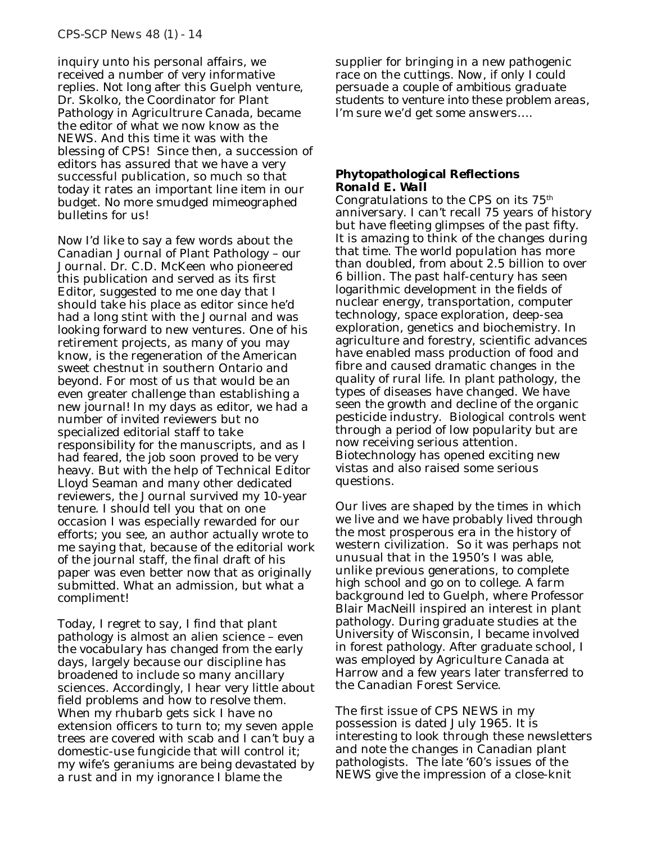inquiry unto his personal affairs, we received a number of very informative replies. Not long after this Guelph venture, Dr. Skolko, the Coordinator for Plant Pathology in Agricultrure Canada, became the editor of what we now know as the NEWS. And this time it was with the blessing of CPS! Since then, a succession of editors has assured that we have a very successful publication, so much so that today it rates an important line item in our budget. No more smudged mimeographed bulletins for us!

Now I'd like to say a few words about the Canadian Journal of Plant Pathology – *our* Journal. Dr. C.D. McKeen who pioneered this publication and served as its first Editor, suggested to me one day that I should take his place as editor since he'd had a long stint with the Journal and was looking forward to new ventures. One of his retirement projects, as many of you may know, is the regeneration of the American sweet chestnut in southern Ontario and beyond. For most of us that would be an even greater challenge than establishing a new journal! In my days as editor, we had a number of invited reviewers but no specialized editorial staff to take responsibility for the manuscripts, and as I had feared, the job soon proved to be very heavy. But with the help of Technical Editor Lloyd Seaman and many other dedicated reviewers, the Journal survived my 10-year tenure. I should tell you that on one occasion I was especially rewarded for our efforts; you see, an author actually wrote to me saying that, because of the editorial work of the journal staff, the final draft of his paper was even better now that as originally submitted. What an admission, but what a compliment!

Today, I regret to say, I find that plant pathology is almost an alien science – even the vocabulary has changed from the early days, largely because our discipline has broadened to include so many ancillary sciences. Accordingly, I hear very little about field problems and how to resolve them. When my rhubarb gets sick I have no extension officers to turn to; my seven apple trees are covered with scab and I can't buy a domestic-use fungicide that will control it; my wife's geraniums are being devastated by a rust and in my ignorance I blame the

supplier for bringing in a new pathogenic race on the cuttings. *Now, if only I could persuade a couple of ambitious graduate students to venture into these problem areas, I'm sure we'd get some answers….*

#### **Phytopathological Reflections** *Ronald E. Wall*

Congratulations to the CPS on its 75<sup>th</sup> anniversary. I can't recall 75 years of history but have fleeting glimpses of the past fifty. It is amazing to think of the changes during that time. The world population has more than doubled, from about 2.5 billion to over 6 billion. The past half-century has seen logarithmic development in the fields of nuclear energy, transportation, computer technology, space exploration, deep-sea exploration, genetics and biochemistry. In agriculture and forestry, scientific advances have enabled mass production of food and fibre and caused dramatic changes in the quality of rural life. In plant pathology, the types of diseases have changed. We have seen the growth and decline of the organic pesticide industry. Biological controls went through a period of low popularity but are now receiving serious attention. Biotechnology has opened exciting new vistas and also raised some serious questions.

Our lives are shaped by the times in which we live and we have probably lived through the most prosperous era in the history of western civilization. So it was perhaps not unusual that in the 1950's I was able, unlike previous generations, to complete high school and go on to college. A farm background led to Guelph, where Professor Blair MacNeill inspired an interest in plant pathology. During graduate studies at the University of Wisconsin, I became involved in forest pathology. After graduate school, I was employed by Agriculture Canada at Harrow and a few years later transferred to the Canadian Forest Service.

The first issue of CPS NEWS in my possession is dated July 1965. It is interesting to look through these newsletters and note the changes in Canadian plant pathologists. The late '60's issues of the NEWS give the impression of a close-knit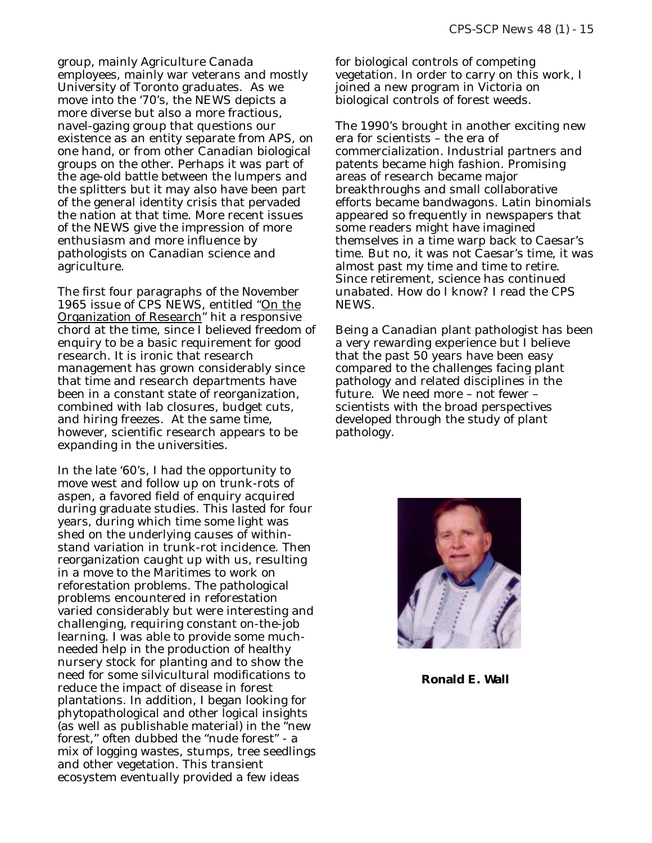group, mainly Agriculture Canada employees, mainly war veterans and mostly University of Toronto graduates. As we move into the '70's, the NEWS depicts a more diverse but also a more fractious, navel-gazing group that questions our existence as an entity separate from APS, on one hand, or from other Canadian biological groups on the other. Perhaps it was part of the age-old battle between the lumpers and the splitters but it may also have been part of the general identity crisis that pervaded the nation at that time. More recent issues of the NEWS give the impression of more enthusiasm and more influence by pathologists on Canadian science and agriculture.

The first four paragraphs of the November 1965 issue of CPS NEWS, entitled "On the Organization of Research" hit a responsive chord at the time, since I believed freedom of enquiry to be a basic requirement for good research. It is ironic that research management has grown considerably since that time and research departments have been in a constant state of reorganization, combined with lab closures, budget cuts, and hiring freezes. At the same time, however, scientific research appears to be expanding in the universities.

In the late '60's, I had the opportunity to move west and follow up on trunk-rots of aspen, a favored field of enquiry acquired during graduate studies. This lasted for four years, during which time some light was shed on the underlying causes of withinstand variation in trunk-rot incidence. Then reorganization caught up with us, resulting in a move to the Maritimes to work on reforestation problems. The pathological problems encountered in reforestation varied considerably but were interesting and challenging, requiring constant on-the-job learning. I was able to provide some muchneeded help in the production of healthy nursery stock for planting and to show the need for some silvicultural modifications to reduce the impact of disease in forest plantations. In addition, I began looking for phytopathological and other logical insights (as well as publishable material) in the "new forest," often dubbed the "nude forest" - a mix of logging wastes, stumps, tree seedlings and other vegetation. This transient ecosystem eventually provided a few ideas

for biological controls of competing vegetation. In order to carry on this work, I joined a new program in Victoria on biological controls of forest weeds.

The 1990's brought in another exciting new era for scientists – the era of commercialization. Industrial partners and patents became high fashion. Promising areas of research became major breakthroughs and small collaborative efforts became bandwagons. Latin binomials appeared so frequently in newspapers that some readers might have imagined themselves in a time warp back to Caesar's time. But no, it was not Caesar's time, it was almost past my time and time to retire. Since retirement, science has continued unabated. How do I know? I read the CPS NEWS.

Being a Canadian plant pathologist has been a very rewarding experience but I believe that the past 50 years have been easy compared to the challenges facing plant pathology and related disciplines in the future. We need more – not fewer – scientists with the broad perspectives developed through the study of plant pathology.



**Ronald E. Wall**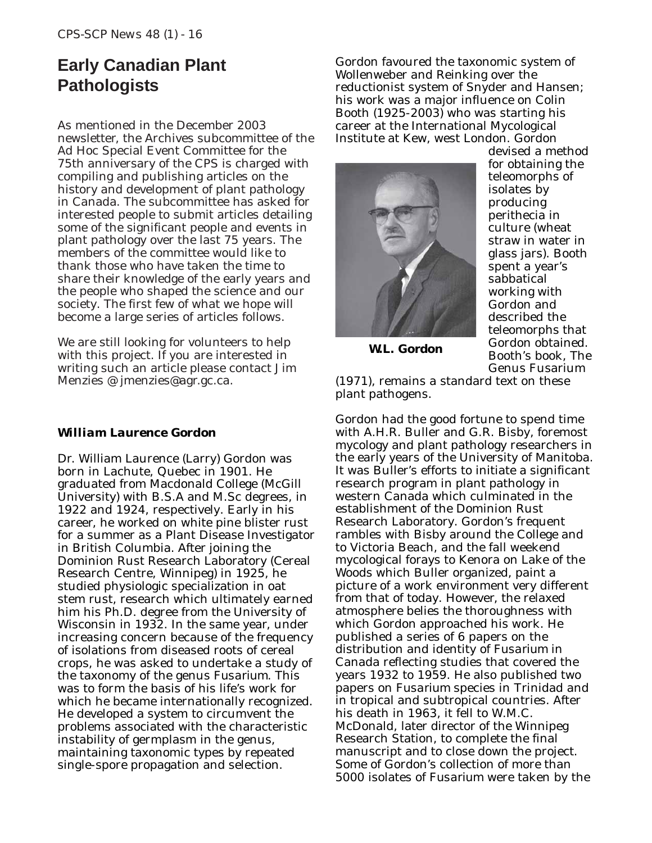### **Early Canadian Plant Pathologists**

As mentioned in the December 2003 newsletter, the Archives subcommittee of the Ad Hoc Special Event Committee for the 75th anniversary of the CPS is charged with compiling and publishing articles on the history and development of plant pathology in Canada. The subcommittee has asked for interested people to submit articles detailing some of the significant people and events in plant pathology over the last 75 years. The members of the committee would like to thank those who have taken the time to share their knowledge of the early years and the people who shaped the science and our society. The first few of what we hope will become a large series of articles follows.

We are still looking for volunteers to help with this project. If you are interested in writing such an article please contact Jim Menzies @ jmenzies@agr.gc.ca.

#### *William Laurence Gordon*

Dr. William Laurence (Larry) Gordon was born in Lachute, Quebec in 1901. He graduated from Macdonald College (McGill University) with B.S.A and M.Sc degrees, in 1922 and 1924, respectively. Early in his career, he worked on white pine blister rust for a summer as a Plant Disease Investigator in British Columbia. After joining the Dominion Rust Research Laboratory (Cereal Research Centre, Winnipeg) in 1925, he studied physiologic specialization in oat stem rust, research which ultimately earned him his Ph.D. degree from the University of Wisconsin in 1932. In the same year, under increasing concern because of the frequency of isolations from diseased roots of cereal crops, he was asked to undertake a study of the taxonomy of the genus *Fusarium*. This was to form the basis of his life's work for which he became internationally recognized. He developed a system to circumvent the problems associated with the characteristic instability of germplasm in the genus, maintaining taxonomic types by repeated single-spore propagation and selection.

Gordon favoured the taxonomic system of Wollenweber and Reinking over the reductionist system of Snyder and Hansen; his work was a major influence on Colin Booth (1925-2003) who was starting his career at the International Mycological Institute at Kew, west London. Gordon



devised a method for obtaining the teleomorphs of isolates by producing perithecia in culture (wheat straw in water in glass jars). Booth spent a year's sabbatical working with Gordon and described the teleomorphs that Gordon obtained. Booth's book, The Genus Fusarium

**W.L. Gordon**

(1971), remains a standard text on these plant pathogens.

Gordon had the good fortune to spend time with A.H.R. Buller and G.R. Bisby, foremost mycology and plant pathology researchers in the early years of the University of Manitoba. It was Buller's efforts to initiate a significant research program in plant pathology in western Canada which culminated in the establishment of the Dominion Rust Research Laboratory. Gordon's frequent rambles with Bisby around the College and to Victoria Beach, and the fall weekend mycological forays to Kenora on Lake of the Woods which Buller organized, paint a picture of a work environment very different from that of today. However, the relaxed atmosphere belies the thoroughness with which Gordon approached his work. He published a series of 6 papers on the distribution and identity of *Fusarium* in Canada reflecting studies that covered the years 1932 to 1959. He also published two papers on *Fusarium* species in Trinidad and in tropical and subtropical countries. After his death in 1963, it fell to W.M.C. McDonald, later director of the Winnipeg Research Station, to complete the final manuscript and to close down the project. Some of Gordon's collection of more than 5000 isolates of *Fusarium* were taken by the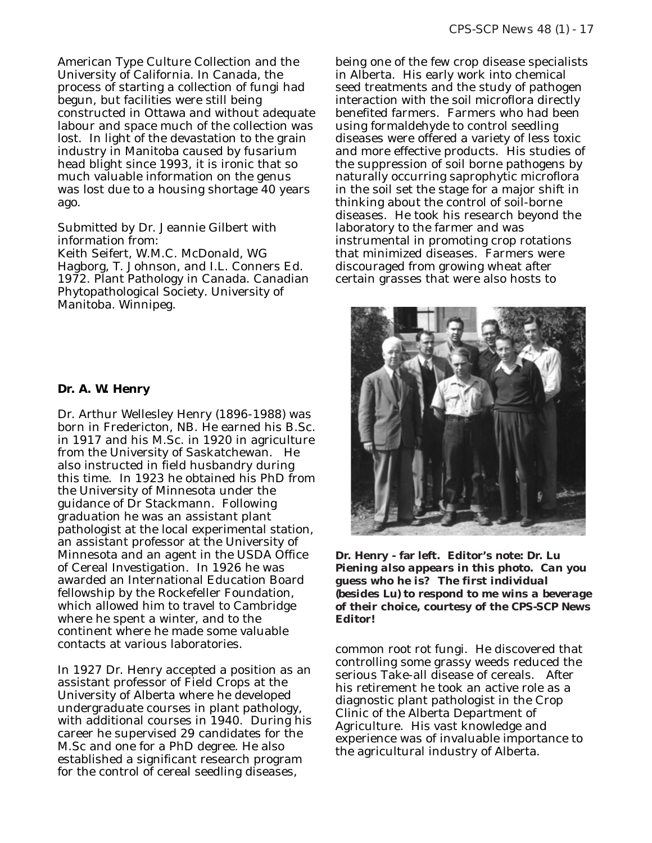American Type Culture Collection and the University of California. In Canada, the process of starting a collection of fungi had begun, but facilities were still being constructed in Ottawa and without adequate labour and space much of the collection was lost. In light of the devastation to the grain industry in Manitoba caused by fusarium head blight since 1993, it is ironic that so much valuable information on the genus was lost due to a housing shortage 40 years ago.

Submitted by Dr. Jeannie Gilbert with information from: Keith Seifert, W.M.C. McDonald, WG Hagborg, T. Johnson, and I.L. Conners Ed. 1972. Plant Pathology in Canada. Canadian Phytopathological Society. University of Manitoba. Winnipeg.

#### *Dr. A. W. Henry*

Dr. Arthur Wellesley Henry (1896-1988) was born in Fredericton, NB. He earned his B.Sc. in 1917 and his M.Sc. in 1920 in agriculture from the University of Saskatchewan. He also instructed in field husbandry during this time. In 1923 he obtained his PhD from the University of Minnesota under the guidance of Dr Stackmann. Following graduation he was an assistant plant pathologist at the local experimental station, an assistant professor at the University of Minnesota and an agent in the USDA Office of Cereal Investigation. In 1926 he was awarded an International Education Board fellowship by the Rockefeller Foundation, which allowed him to travel to Cambridge where he spent a winter, and to the continent where he made some valuable contacts at various laboratories.

In 1927 Dr. Henry accepted a position as an assistant professor of Field Crops at the University of Alberta where he developed undergraduate courses in plant pathology, with additional courses in 1940. During his career he supervised 29 candidates for the M.Sc and one for a PhD degree. He also established a significant research program for the control of cereal seedling diseases,

being one of the few crop disease specialists in Alberta. His early work into chemical seed treatments and the study of pathogen interaction with the soil microflora directly benefited farmers. Farmers who had been using formaldehyde to control seedling diseases were offered a variety of less toxic and more effective products. His studies of the suppression of soil borne pathogens by naturally occurring saprophytic microflora in the soil set the stage for a major shift in thinking about the control of soil-borne diseases. He took his research beyond the laboratory to the farmer and was instrumental in promoting crop rotations that minimized diseases. Farmers were discouraged from growing wheat after certain grasses that were also hosts to



**Dr. Henry - far left.** *Editor's note: Dr. Lu Piening also appears in this photo. Can you guess who he is? The first individual (besides Lu) to respond to me wins a beverage of their choice, courtesy of the CPS-SCP News Editor!*

common root rot fungi. He discovered that controlling some grassy weeds reduced the serious Take-all disease of cereals. After his retirement he took an active role as a diagnostic plant pathologist in the Crop Clinic of the Alberta Department of Agriculture. His vast knowledge and experience was of invaluable importance to the agricultural industry of Alberta.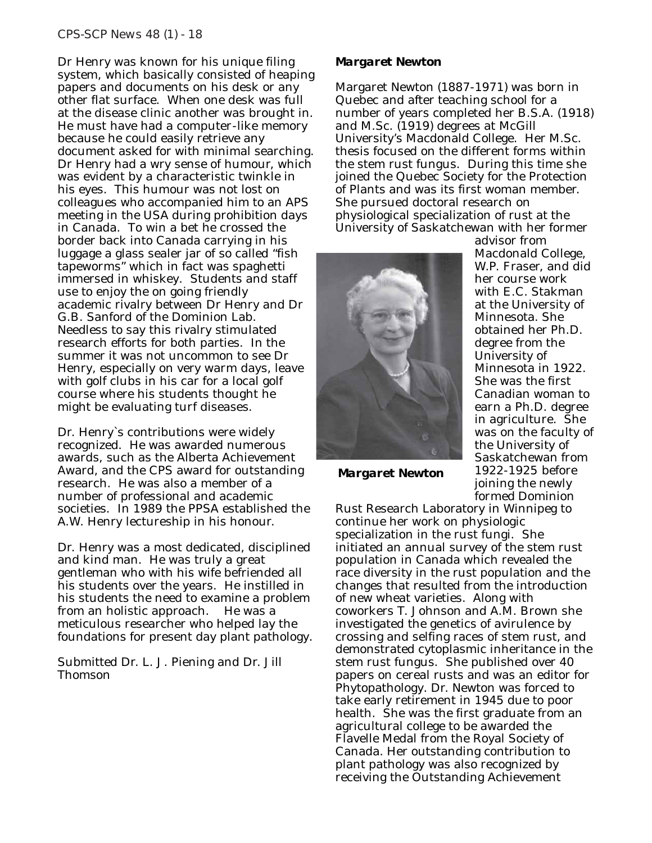Dr Henry was known for his unique filing system, which basically consisted of heaping papers and documents on his desk or any other flat surface. When one desk was full at the disease clinic another was brought in. He must have had a computer-like memory because he could easily retrieve any document asked for with minimal searching. Dr Henry had a wry sense of humour, which was evident by a characteristic twinkle in his eyes. This humour was not lost on colleagues who accompanied him to an APS meeting in the USA during prohibition days in Canada. To win a bet he crossed the border back into Canada carrying in his luggage a glass sealer jar of so called "fish tapeworms" which in fact was spaghetti immersed in whiskey. Students and staff use to enjoy the on going friendly academic rivalry between Dr Henry and Dr G.B. Sanford of the Dominion Lab. Needless to say this rivalry stimulated research efforts for both parties. In the summer it was not uncommon to see Dr Henry, especially on very warm days, leave with golf clubs in his car for a local golf course where his students thought he might be evaluating turf diseases.

Dr. Henry`s contributions were widely recognized. He was awarded numerous awards, such as the Alberta Achievement Award, and the CPS award for outstanding research. He was also a member of a number of professional and academic societies. In 1989 the PPSA established the A.W. Henry lectureship in his honour.

Dr. Henry was a most dedicated, disciplined and kind man. He was truly a great gentleman who with his wife befriended all his students over the years. He instilled in his students the need to examine a problem from an holistic approach. He was a meticulous researcher who helped lay the foundations for present day plant pathology.

Submitted Dr. L. J. Piening and Dr. Jill Thomson

#### *Margaret Newton*

Margaret Newton (1887-1971) was born in Quebec and after teaching school for a number of years completed her B.S.A. (1918) and M.Sc. (1919) degrees at McGill University's Macdonald College. Her M.Sc. thesis focused on the different forms within the stem rust fungus. During this time she joined the Quebec Society for the Protection of Plants and was its first woman member. She pursued doctoral research on physiological specialization of rust at the University of Saskatchewan with her former



advisor from Macdonald College, W.P. Fraser, and did her course work with E.C. Stakman at the University of Minnesota. She obtained her Ph.D. degree from the University of Minnesota in 1922. She was the first Canadian woman to earn a Ph.D. degree in agriculture. She was on the faculty of the University of Saskatchewan from 1922-1925 before joining the newly formed Dominion

*Margaret Newton*

Rust Research Laboratory in Winnipeg to continue her work on physiologic specialization in the rust fungi. She initiated an annual survey of the stem rust population in Canada which revealed the race diversity in the rust population and the changes that resulted from the introduction of new wheat varieties. Along with coworkers T. Johnson and A.M. Brown she investigated the genetics of avirulence by crossing and selfing races of stem rust, and demonstrated cytoplasmic inheritance in the stem rust fungus. She published over 40 papers on cereal rusts and was an editor for Phytopathology. Dr. Newton was forced to take early retirement in 1945 due to poor health. She was the first graduate from an agricultural college to be awarded the Flavelle Medal from the Royal Society of Canada. Her outstanding contribution to plant pathology was also recognized by receiving the Outstanding Achievement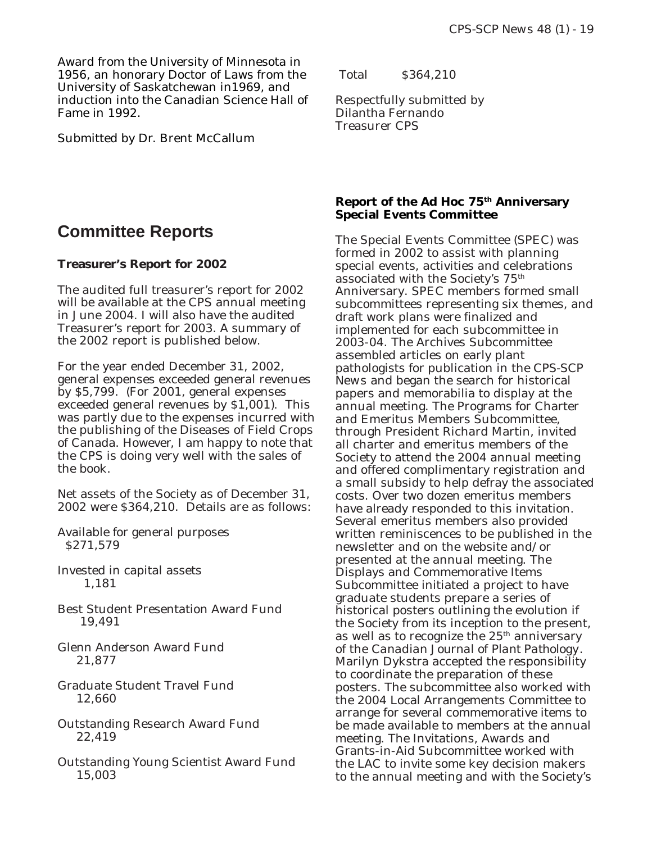Award from the University of Minnesota in 1956, an honorary Doctor of Laws from the University of Saskatchewan in1969, and induction into the Canadian Science Hall of Fame in 1992.

Submitted by Dr. Brent McCallum

### **Committee Reports**

#### **Treasurer's Report for 2002**

The audited full treasurer's report for 2002 will be available at the CPS annual meeting in June 2004. I will also have the audited Treasurer's report for 2003. A summary of the 2002 report is published below.

For the year ended December 31, 2002, general expenses exceeded general revenues by \$5,799. (For 2001, general expenses exceeded general revenues by \$1,001). This was partly due to the expenses incurred with the publishing of the Diseases of Field Crops of Canada. However, I am happy to note that the CPS is doing very well with the sales of the book.

Net assets of the Society as of December 31, 2002 were \$364,210. Details are as follows:

- Available for general purposes \$271,579
- Invested in capital assets 1,181
- Best Student Presentation Award Fund 19,491
- Glenn Anderson Award Fund 21,877
- Graduate Student Travel Fund 12,660
- Outstanding Research Award Fund 22,419
- Outstanding Young Scientist Award Fund 15,003

Total \$364,210

Respectfully submitted by Dilantha Fernando Treasurer CPS

#### **Report of the Ad Hoc 75th Anniversary Special Events Committee**

The Special Events Committee (SPEC) was formed in 2002 to assist with planning special events, activities and celebrations associated with the Society's 75th Anniversary. SPEC members formed small subcommittees representing six themes, and draft work plans were finalized and implemented for each subcommittee in 2003-04. The Archives Subcommittee assembled articles on early plant pathologists for publication in the *CPS-SCP News* and began the search for historical papers and memorabilia to display at the annual meeting. The Programs for Charter and Emeritus Members Subcommittee, through President Richard Martin, invited all charter and emeritus members of the Society to attend the 2004 annual meeting and offered complimentary registration and a small subsidy to help defray the associated costs. Over two dozen emeritus members have already responded to this invitation. Several emeritus members also provided written reminiscences to be published in the newsletter and on the website and/or presented at the annual meeting. The Displays and Commemorative Items Subcommittee initiated a project to have graduate students prepare a series of historical posters outlining the evolution if the Society from its inception to the present, as well as to recognize the  $25<sup>th</sup>$  anniversary of the *Canadian Journal of Plant Pathology*. Marilyn Dykstra accepted the responsibility to coordinate the preparation of these posters. The subcommittee also worked with the 2004 Local Arrangements Committee to arrange for several commemorative items to be made available to members at the annual meeting. The Invitations, Awards and Grants-in-Aid Subcommittee worked with the LAC to invite some key decision makers to the annual meeting and with the Society's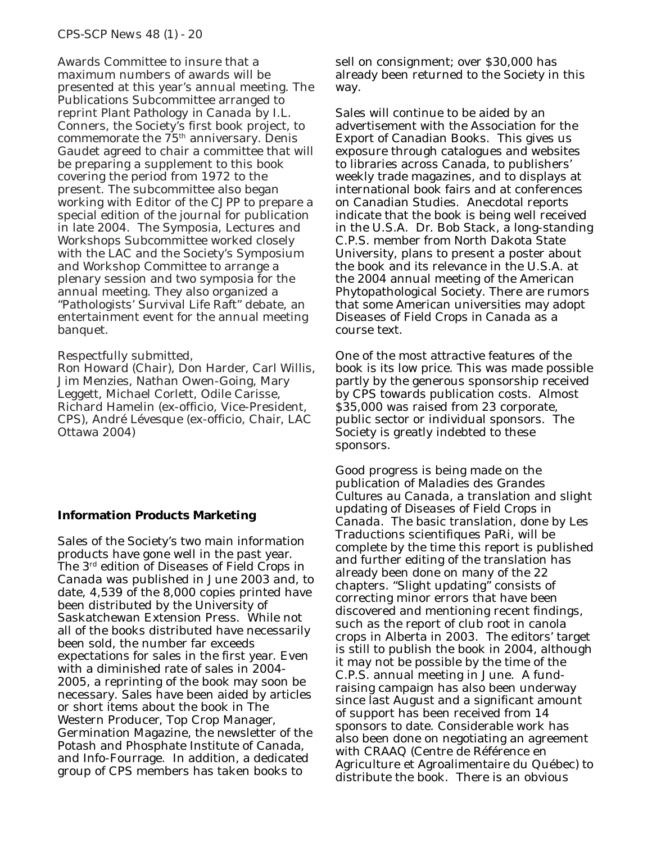Awards Committee to insure that a maximum numbers of awards will be presented at this year's annual meeting. The Publications Subcommittee arranged to reprint *Plant Pathology in Canada* by I.L. Conners, the Society's first book project, to commemorate the 75th anniversary. Denis Gaudet agreed to chair a committee that will be preparing a supplement to this book covering the period from 1972 to the present. The subcommittee also began working with Editor of the *CJPP* to prepare a special edition of the journal for publication in late 2004. The Symposia, Lectures and Workshops Subcommittee worked closely with the LAC and the Society's Symposium and Workshop Committee to arrange a plenary session and two symposia for the annual meeting. They also organized a "Pathologists' Survival Life Raft" debate, an entertainment event for the annual meeting banquet.

#### Respectfully submitted,

Ron Howard (Chair), Don Harder, Carl Willis, Jim Menzies, Nathan Owen-Going, Mary Leggett, Michael Corlett, Odile Carisse, Richard Hamelin (ex-officio, Vice-President, CPS), André Lévesque (ex-officio, Chair, LAC Ottawa 2004)

#### **Information Products Marketing**

Sales of the Society's two main information products have gone well in the past year. The 3rd edition of *Diseases of Field Crops in Canada* was published in June 2003 and, to date, 4,539 of the 8,000 copies printed have been distributed by the University of Saskatchewan Extension Press. While not all of the books distributed have necessarily been sold, the number far exceeds expectations for sales in the first year. Even with a diminished rate of sales in 2004- 2005, a reprinting of the book may soon be necessary. Sales have been aided by articles or short items about the book in The Western Producer, Top Crop Manager, Germination Magazine, the newsletter of the Potash and Phosphate Institute of Canada, and Info-Fourrage. In addition, a dedicated group of CPS members has taken books to

sell on consignment; over \$30,000 has already been returned to the Society in this way.

Sales will continue to be aided by an advertisement with the Association for the Export of Canadian Books. This gives us exposure through catalogues and websites to libraries across Canada, to publishers' weekly trade magazines, and to displays at international book fairs and at conferences on Canadian Studies. Anecdotal reports indicate that the book is being well received in the U.S.A. Dr. Bob Stack, a long-standing C.P.S. member from North Dakota State University, plans to present a poster about the book and its relevance in the U.S.A. at the 2004 annual meeting of the American Phytopathological Society. There are rumors that some American universities may adopt *Diseases of Field Crops in Canada* as a course text.

One of the most attractive features of the book is its low price. This was made possible partly by the generous sponsorship received by CPS towards publication costs. Almost \$35,000 was raised from 23 corporate, public sector or individual sponsors. The Society is greatly indebted to these sponsors.

Good progress is being made on the publication of *Maladies des Grandes Cultures au Canada*, a translation and slight updating of *Diseases of Field Crops in Canada.* The basic translation, done by Les Traductions scientifiques PaRi, will be complete by the time this report is published and further editing of the translation has already been done on many of the 22 chapters. "Slight updating" consists of correcting minor errors that have been discovered and mentioning recent findings, such as the report of club root in canola crops in Alberta in 2003. The editors' target is still to publish the book in 2004, although it may not be possible by the time of the C.P.S. annual meeting in June. A fundraising campaign has also been underway since last August and a significant amount of support has been received from 14 sponsors to date. Considerable work has also been done on negotiating an agreement with CRAAQ (Centre de Référence en Agriculture et Agroalimentaire du Québec) to distribute the book. There is an obvious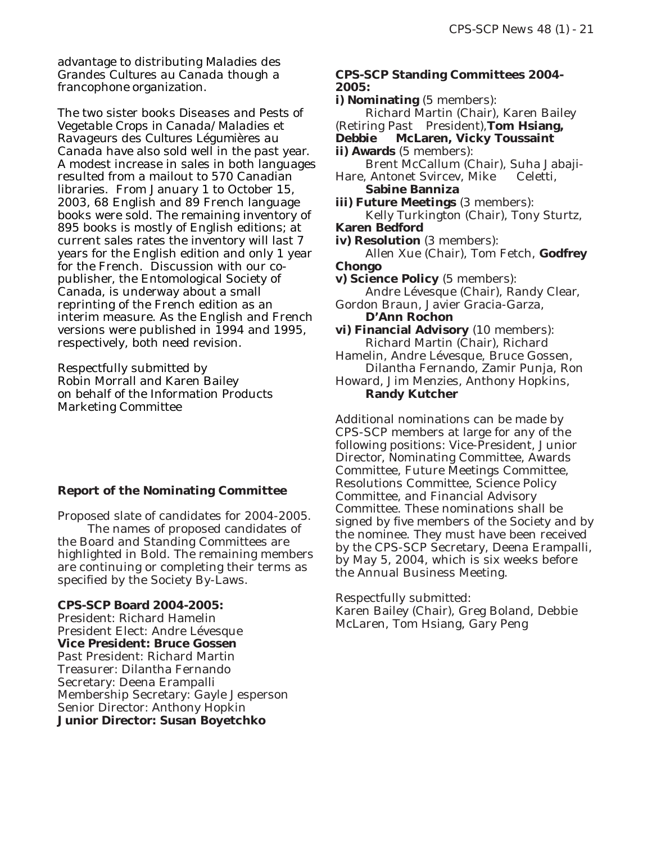advantage to distributing *Maladies des Grandes Cultures au Canada* though a francophone organization.

The two sister books *Diseases and Pests of Vegetable Crops in Canada/Maladies et Ravageurs des Cultures Légumières au Canada* have also sold well in the past year. A modest increase in sales in both languages resulted from a mailout to 570 Canadian libraries. From January 1 to October 15, 2003, 68 English and 89 French language books were sold. The remaining inventory of 895 books is mostly of English editions; at current sales rates the inventory will last 7 years for the English edition and only 1 year for the French. Discussion with our copublisher, the Entomological Society of Canada, is underway about a small reprinting of the French edition as an interim measure. As the English and French versions were published in 1994 and 1995, respectively, both need revision.

Respectfully submitted by Robin Morrall and Karen Bailey on behalf of the Information Products Marketing Committee

#### **Report of the Nominating Committee**

Proposed slate of candidates for 2004-2005. The names of proposed candidates of the Board and Standing Committees are highlighted in Bold. The remaining members are continuing or completing their terms as specified by the Society By-Laws.

### **CPS-SCP Board 2004-2005:**

President: Richard Hamelin President Elect: Andre Lévesque **Vice President: Bruce Gossen** Past President: Richard Martin Treasurer: Dilantha Fernando Secretary: Deena Erampalli Membership Secretary: Gayle Jesperson Senior Director: Anthony Hopkin **Junior Director: Susan Boyetchko**

#### **CPS-SCP Standing Committees 2004- 2005:**

- **i) Nominating** (5 members):
	- Richard Martin (Chair), Karen Bailey
- (Retiring Past President),**Tom Hsiang,**
- **Debbie McLaren, Vicky Toussaint**
- **ii) Awards** (5 members):

Brent McCallum (Chair), Suha Jabaji-Hare, Antonet Svircev, Mike Celetti,

**Sabine Banniza iii) Future Meetings** (3 members):

Kelly Turkington (Chair), Tony Sturtz, **Karen Bedford**

**iv) Resolution** (3 members):

Allen Xue (Chair), Tom Fetch, **Godfrey Chongo**

**v) Science Policy** (5 members): Andre Lévesque (Chair), Randy Clear,

Gordon Braun, Javier Gracia-Garza, **D'Ann Rochon**

**vi) Financial Advisory** (10 members): Richard Martin (Chair), Richard

Hamelin, Andre Lévesque, Bruce Gossen, Dilantha Fernando, Zamir Punja, Ron

Howard, Jim Menzies, Anthony Hopkins,

#### **Randy Kutcher**

Additional nominations can be made by CPS-SCP members at large for any of the following positions: Vice-President, Junior Director, Nominating Committee, Awards Committee, Future Meetings Committee, Resolutions Committee, Science Policy Committee, and Financial Advisory Committee. These nominations shall be signed by five members of the Society and by the nominee. They must have been received by the CPS-SCP Secretary, Deena Erampalli, by May 5, 2004, which is six weeks before the Annual Business Meeting.

Respectfully submitted:

Karen Bailey (Chair), Greg Boland, Debbie McLaren, Tom Hsiang, Gary Peng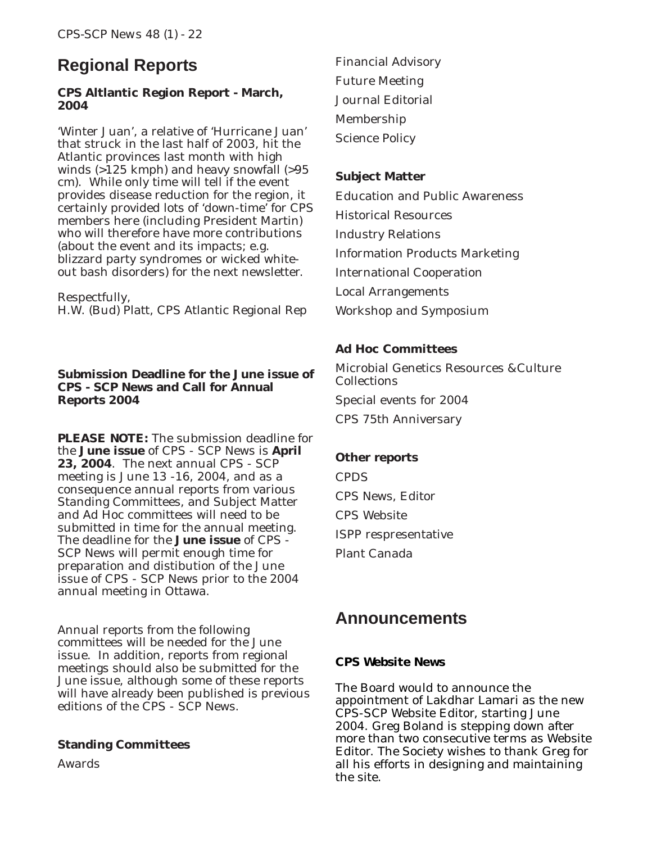### **Regional Reports**

#### **CPS Altlantic Region Report - March, 2004**

'Winter Juan', a relative of 'Hurricane Juan' that struck in the last half of 2003, hit the Atlantic provinces last month with high winds (>125 kmph) and heavy snowfall (>95 cm). While only time will tell if the event provides disease reduction for the region, it certainly provided lots of 'down-time' for CPS members here (including President Martin) who will therefore have more contributions (about the event and its impacts; e.g. blizzard party syndromes or wicked whiteout bash disorders) for the next newsletter.

Respectfully, H.W. (Bud) Platt, CPS Atlantic Regional Rep

#### **Submission Deadline for the June issue of CPS - SCP News and Call for Annual Reports 2004**

**PLEASE NOTE:** The submission deadline for the **June issue** of CPS - SCP News is **April 23, 2004**. The next annual CPS - SCP meeting is June 13 -16, 2004, and as a consequence annual reports from various Standing Committees, and Subject Matter and Ad Hoc committees will need to be submitted in time for the annual meeting. The deadline for the **June issue** of CPS - SCP News will permit enough time for preparation and distibution of the June issue of CPS - SCP News prior to the 2004 annual meeting in Ottawa.

Annual reports from the following committees will be needed for the June issue. In addition, reports from regional meetings should also be submitted for the June issue, although some of these reports will have already been published is previous editions of the CPS - SCP News.

#### **Standing Committees**

Awards

Financial Advisory Future Meeting Journal Editorial Membership Science Policy

#### **Subject Matter**

Education and Public Awareness Historical Resources Industry Relations Information Products Marketing International Cooperation Local Arrangements Workshop and Symposium

#### **Ad Hoc Committees**

Microbial Genetics Resources &Culture Collections Special events for 2004 CPS 75th Anniversary

#### **Other reports**

CPDS CPS News, Editor CPS Website ISPP respresentative Plant Canada

### **Announcements**

#### **CPS Website News**

The Board would to announce the appointment of Lakdhar Lamari as the new CPS-SCP Website Editor, starting June 2004. Greg Boland is stepping down after more than two consecutive terms as Website Editor. The Society wishes to thank Greg for all his efforts in designing and maintaining the site.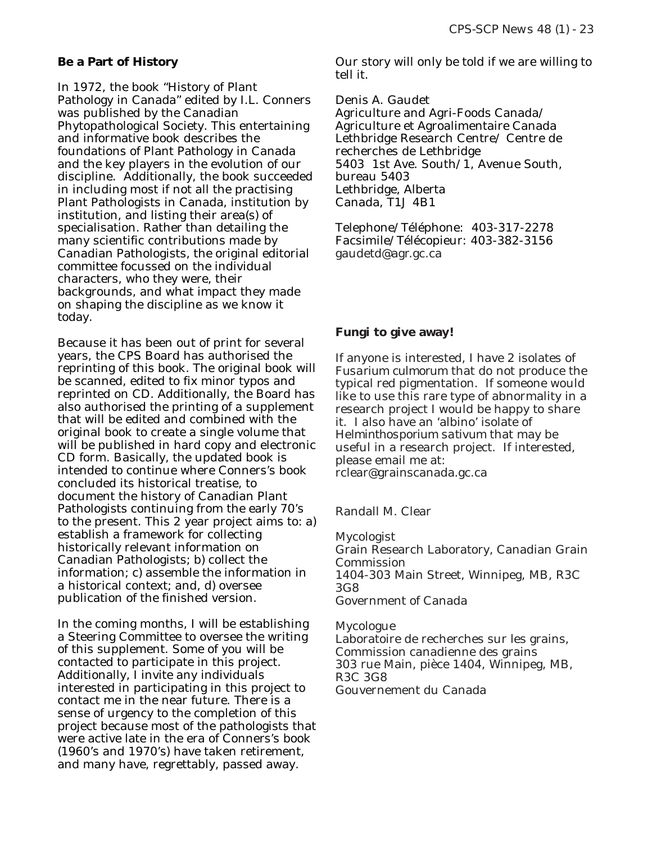#### **Be a Part of History**

In 1972, the book "History of Plant Pathology in Canada" edited by I.L. Conners was published by the Canadian Phytopathological Society. This entertaining and informative book describes the foundations of Plant Pathology in Canada and the key players in the evolution of our discipline. Additionally, the book succeeded in including most if not all the practising Plant Pathologists in Canada, institution by institution, and listing their area(s) of specialisation. Rather than detailing the many scientific contributions made by Canadian Pathologists, the original editorial committee focussed on the individual characters, who they were, their backgrounds, and what impact they made on shaping the discipline as we know it today.

Because it has been out of print for several years, the CPS Board has authorised the reprinting of this book. The original book will be scanned, edited to fix minor typos and reprinted on CD. Additionally, the Board has also authorised the printing of a supplement that will be edited and combined with the original book to create a single volume that will be published in hard copy and electronic CD form. Basically, the updated book is intended to continue where Conners's book concluded its historical treatise, to document the history of Canadian Plant Pathologists continuing from the early 70's to the present. This 2 year project aims to: a) establish a framework for collecting historically relevant information on Canadian Pathologists; b) collect the information; c) assemble the information in a historical context; and, d) oversee publication of the finished version.

In the coming months, I will be establishing a Steering Committee to oversee the writing of this supplement. Some of you will be contacted to participate in this project. Additionally, I invite any individuals interested in participating in this project to contact me in the near future. There is a sense of urgency to the completion of this project because most of the pathologists that were active late in the era of Conners's book (1960's and 1970's) have taken retirement, and many have, regrettably, passed away.

Our story will only be told if we are willing to tell it.

Denis A. Gaudet Agriculture and Agri-Foods Canada/ Agriculture et Agroalimentaire Canada Lethbridge Research Centre/ Centre de recherches de Lethbridge 5403 1st Ave. South/1, Avenue South, bureau 5403 Lethbridge, Alberta Canada, T1J 4B1

Telephone/Téléphone: 403-317-2278 Facsimile/Télécopieur: 403-382-3156 gaudetd@agr.gc.ca

#### **Fungi to give away!**

If anyone is interested, I have 2 isolates of *Fusarium culmorum* that do not produce the typical red pigmentation. If someone would like to use this rare type of abnormality in a research project I would be happy to share it. I also have an 'albino' isolate of *Helminthosporium sativum* that may be useful in a research project. If interested, please email me at: rclear@grainscanada.gc.ca

#### Randall M. Clear

Mycologist Grain Research Laboratory, Canadian Grain Commission 1404-303 Main Street, Winnipeg, MB, R3C 3G8 Government of Canada

#### Mycologue

Laboratoire de recherches sur les grains, Commission canadienne des grains 303 rue Main, pièce 1404, Winnipeg, MB, R3C 3G8 Gouvernement du Canada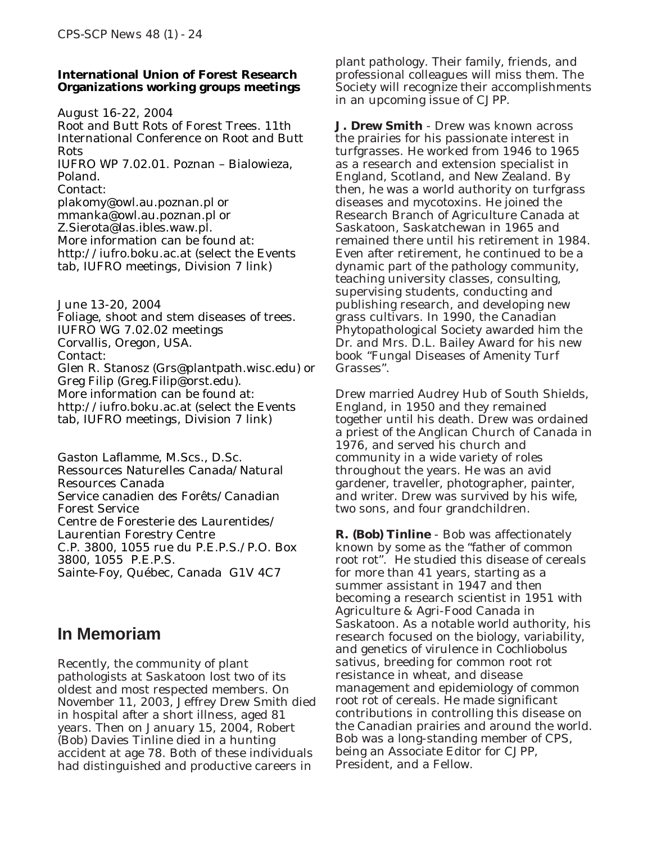#### **International Union of Forest Research Organizations working groups meetings**

August 16-22, 2004 Root and Butt Rots of Forest Trees. 11th International Conference on Root and Butt Rots IUFRO WP 7.02.01. Poznan – Bialowieza, Poland. Contact: plakomy@owl.au.poznan.pl or mmanka@owl.au.poznan.pl or Z.Sierota@las.ibles.waw.pl. More information can be found at: http://iufro.boku.ac.at (select the Events tab, IUFRO meetings, Division 7 link)

June 13-20, 2004 Foliage, shoot and stem diseases of trees. IUFRO WG 7.02.02 meetings Corvallis, Oregon, USA. Contact: Glen R. Stanosz (Grs@plantpath.wisc.edu) or Greg Filip (Greg.Filip@orst.edu). More information can be found at: http://iufro.boku.ac.at (select the Events tab, IUFRO meetings, Division 7 link)

Gaston Laflamme, M.Scs., D.Sc. Ressources Naturelles Canada/Natural Resources Canada Service canadien des Forêts/Canadian Forest Service Centre de Foresterie des Laurentides/ Laurentian Forestry Centre C.P. 3800, 1055 rue du P.E.P.S./P.O. Box 3800, 1055 P.E.P.S. Sainte-Foy, Québec, Canada G1V 4C7

### **In Memoriam**

Recently, the community of plant pathologists at Saskatoon lost two of its oldest and most respected members. On November 11, 2003, Jeffrey Drew Smith died in hospital after a short illness, aged 81 years. Then on January 15, 2004, Robert (Bob) Davies Tinline died in a hunting accident at age 78. Both of these individuals had distinguished and productive careers in

plant pathology. Their family, friends, and professional colleagues will miss them. The Society will recognize their accomplishments in an upcoming issue of CJPP.

**J. Drew Smith** - Drew was known across the prairies for his passionate interest in turfgrasses. He worked from 1946 to 1965 as a research and extension specialist in England, Scotland, and New Zealand. By then, he was a world authority on turfgrass diseases and mycotoxins. He joined the Research Branch of Agriculture Canada at Saskatoon, Saskatchewan in 1965 and remained there until his retirement in 1984. Even after retirement, he continued to be a dynamic part of the pathology community, teaching university classes, consulting, supervising students, conducting and publishing research, and developing new grass cultivars. In 1990, the Canadian Phytopathological Society awarded him the Dr. and Mrs. D.L. Bailey Award for his new book "Fungal Diseases of Amenity Turf Grasses".

Drew married Audrey Hub of South Shields, England, in 1950 and they remained together until his death. Drew was ordained a priest of the Anglican Church of Canada in 1976, and served his church and community in a wide variety of roles throughout the years. He was an avid gardener, traveller, photographer, painter, and writer. Drew was survived by his wife, two sons, and four grandchildren.

**R. (Bob) Tinline** - Bob was affectionately known by some as the "father of common root rot". He studied this disease of cereals for more than 41 years, starting as a summer assistant in 1947 and then becoming a research scientist in 1951 with Agriculture & Agri-Food Canada in Saskatoon. As a notable world authority, his research focused on the biology, variability, and genetics of virulence in *Cochliobolus sativus*, breeding for common root rot resistance in wheat, and disease management and epidemiology of common root rot of cereals. He made significant contributions in controlling this disease on the Canadian prairies and around the world. Bob was a long-standing member of CPS, being an Associate Editor for CJPP, President, and a Fellow.